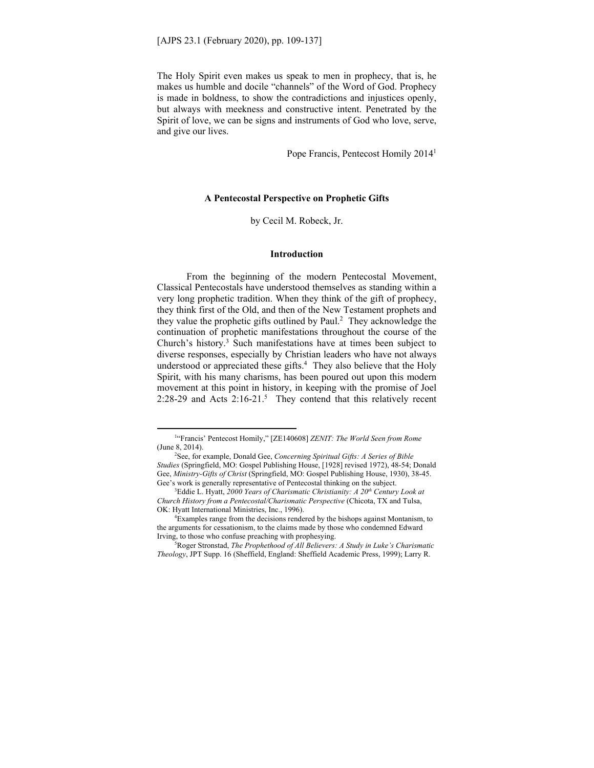The Holy Spirit even makes us speak to men in prophecy, that is, he makes us humble and docile "channels" of the Word of God. Prophecy is made in boldness, to show the contradictions and injustices openly, but always with meekness and constructive intent. Penetrated by the Spirit of love, we can be signs and instruments of God who love, serve, and give our lives.

Pope Francis, Pentecost Homily 2014<sup>1</sup>

# **A Pentecostal Perspective on Prophetic Gifts**

by Cecil M. Robeck, Jr.

# **Introduction**

 From the beginning of the modern Pentecostal Movement, Classical Pentecostals have understood themselves as standing within a very long prophetic tradition. When they think of the gift of prophecy, they think first of the Old, and then of the New Testament prophets and they value the prophetic gifts outlined by Paul. $<sup>2</sup>$  They acknowledge the</sup> continuation of prophetic manifestations throughout the course of the Church's history.3 Such manifestations have at times been subject to diverse responses, especially by Christian leaders who have not always understood or appreciated these gifts.<sup>4</sup> They also believe that the Holy Spirit, with his many charisms, has been poured out upon this modern movement at this point in history, in keeping with the promise of Joel 2:28-29 and Acts  $2:16-21$ .<sup>5</sup> They contend that this relatively recent

<sup>&</sup>lt;sup>1</sup>"Francis' Pentecost Homily," [ZE140608] *ZENIT: The World Seen from Rome* (June 8, 2014).

See, for example, Donald Gee, *Concerning Spiritual Gifts: A Series of Bible Studies* (Springfield, MO: Gospel Publishing House, [1928] revised 1972), 48-54; Donald Gee, *Ministry-Gifts of Christ* (Springfield, MO: Gospel Publishing House, 1930), 38-45. Gee's work is generally representative of Pentecostal thinking on the subject.

<sup>&</sup>lt;sup>3</sup>Eddie L. Hyatt, 2000 Years of Charismatic Christianity: A 20<sup>th</sup> Century Look at *Church History from a Pentecostal/Charismatic Perspective* (Chicota, TX and Tulsa, OK: Hyatt International Ministries, Inc., 1996).

Examples range from the decisions rendered by the bishops against Montanism, to the arguments for cessationism, to the claims made by those who condemned Edward Irving, to those who confuse preaching with prophesying.

Roger Stronstad, *The Prophethood of All Believers: A Study in Luke's Charismatic Theology*, JPT Supp. 16 (Sheffield, England: Sheffield Academic Press, 1999); Larry R.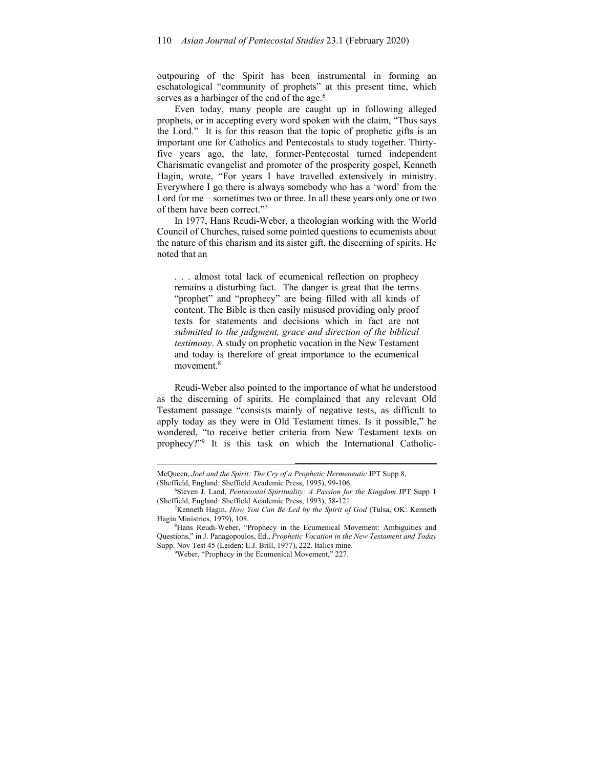outpouring of the Spirit has been instrumental in forming an eschatological "community of prophets" at this present time, which serves as a harbinger of the end of the age.<sup>6</sup>

Even today, many people are caught up in following alleged prophets, or in accepting every word spoken with the claim, "Thus says the Lord." It is for this reason that the topic of prophetic gifts is an important one for Catholics and Pentecostals to study together. Thirtyfive years ago, the late, former-Pentecostal turned independent Charismatic evangelist and promoter of the prosperity gospel, Kenneth Hagin, wrote, "For years I have travelled extensively in ministry. Everywhere I go there is always somebody who has a 'word' from the Lord for me – sometimes two or three. In all these years only one or two of them have been correct."7

In 1977, Hans Reudi-Weber, a theologian working with the World Council of Churches, raised some pointed questions to ecumenists about the nature of this charism and its sister gift, the discerning of spirits. He noted that an

. . . almost total lack of ecumenical reflection on prophecy remains a disturbing fact. The danger is great that the terms "prophet" and "prophecy" are being filled with all kinds of content. The Bible is then easily misused providing only proof texts for statements and decisions which in fact are not *submitted to the judgment, grace and direction of the biblical testimony*. A study on prophetic vocation in the New Testament and today is therefore of great importance to the ecumenical movement.<sup>8</sup>

Reudi-Weber also pointed to the importance of what he understood as the discerning of spirits. He complained that any relevant Old Testament passage "consists mainly of negative tests, as difficult to apply today as they were in Old Testament times. Is it possible," he wondered, "to receive better criteria from New Testament texts on prophecy?"<sup>9</sup> It is this task on which the International Catholic-

McQueen, *Joel and the Spirit: The Cry of a Prophetic Hermeneutic* JPT Supp 8, (Sheffield, England: Sheffield Academic Press, 1995), 99-106.

Steven J. Land, *Pentecostal Spirituality: A Passion for the Kingdom* JPT Supp 1 (Sheffield, England: Sheffield Academic Press, 1993), 58-121.

<sup>&</sup>lt;sup>7</sup>Kenneth Hagin, *How You Can Be Led by the Spirit of God* (Tulsa, OK: Kenneth Hagin Ministries, 1979), 108.

<sup>&</sup>lt;sup>8</sup>Hans Reudi-Weber, "Prophecy in the Ecumenical Movement: Ambiguities and Questions," in J. Panagopoulos, Ed., *Prophetic Vocation in the New Testament and Today*  Supp. Nov Test 45 (Leiden: E.J. Brill, 1977), 222. Italics mine.

Weber, "Prophecy in the Ecumenical Movement," 227.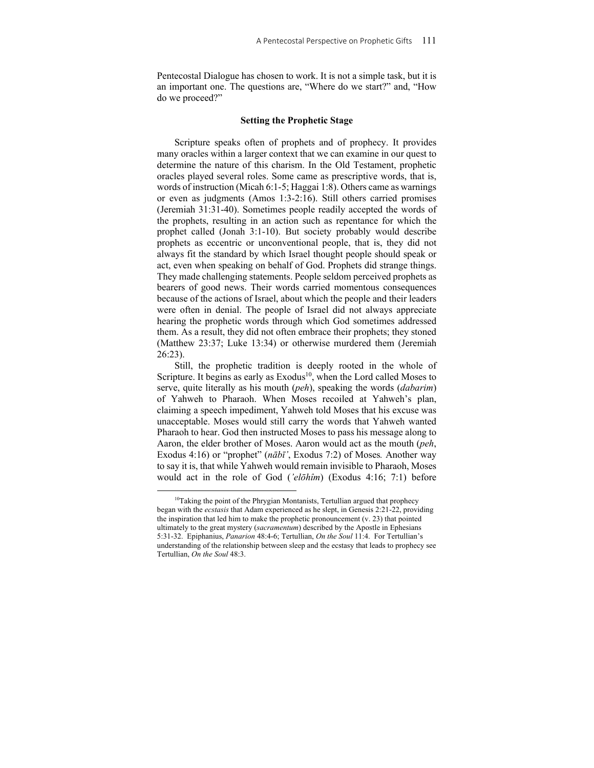Pentecostal Dialogue has chosen to work. It is not a simple task, but it is an important one. The questions are, "Where do we start?" and, "How do we proceed?"

## **Setting the Prophetic Stage**

Scripture speaks often of prophets and of prophecy. It provides many oracles within a larger context that we can examine in our quest to determine the nature of this charism. In the Old Testament, prophetic oracles played several roles. Some came as prescriptive words, that is, words of instruction (Micah 6:1-5; Haggai 1:8). Others came as warnings or even as judgments (Amos 1:3-2:16). Still others carried promises (Jeremiah 31:31-40). Sometimes people readily accepted the words of the prophets, resulting in an action such as repentance for which the prophet called (Jonah 3:1-10). But society probably would describe prophets as eccentric or unconventional people, that is, they did not always fit the standard by which Israel thought people should speak or act, even when speaking on behalf of God. Prophets did strange things. They made challenging statements. People seldom perceived prophets as bearers of good news. Their words carried momentous consequences because of the actions of Israel, about which the people and their leaders were often in denial. The people of Israel did not always appreciate hearing the prophetic words through which God sometimes addressed them. As a result, they did not often embrace their prophets; they stoned (Matthew 23:37; Luke 13:34) or otherwise murdered them (Jeremiah 26:23).

Still, the prophetic tradition is deeply rooted in the whole of Scripture. It begins as early as Exodus<sup>10</sup>, when the Lord called Moses to serve, quite literally as his mouth (*peh*), speaking the words (*dabarim*) of Yahweh to Pharaoh. When Moses recoiled at Yahweh's plan, claiming a speech impediment, Yahweh told Moses that his excuse was unacceptable. Moses would still carry the words that Yahweh wanted Pharaoh to hear. God then instructed Moses to pass his message along to Aaron, the elder brother of Moses. Aaron would act as the mouth (*peh*, Exodus 4:16) or "prophet" (*nābī'*, Exodus 7:2) of Moses*.* Another way to say it is, that while Yahweh would remain invisible to Pharaoh, Moses would act in the role of God (*'elōhîm*) (Exodus 4:16; 7:1) before

<sup>&</sup>lt;sup>10</sup>Taking the point of the Phrygian Montanists, Tertullian argued that prophecy began with the *ecstasis* that Adam experienced as he slept, in Genesis 2:21-22, providing the inspiration that led him to make the prophetic pronouncement (v. 23) that pointed ultimately to the great mystery (*sacramentum*) described by the Apostle in Ephesians 5:31-32. Epiphanius, *Panarion* 48:4-6; Tertullian, *On the Soul* 11:4. For Tertullian's understanding of the relationship between sleep and the ecstasy that leads to prophecy see Tertullian, *On the Soul* 48:3.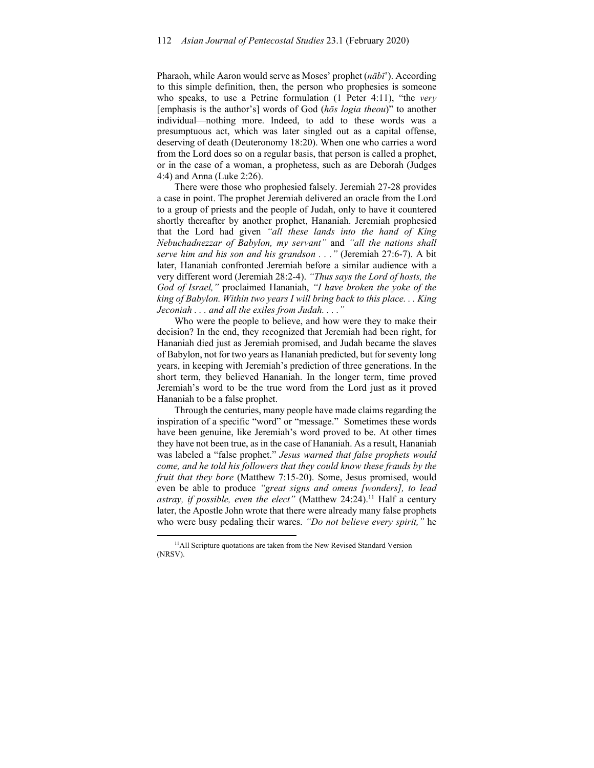Pharaoh, while Aaron would serve as Moses' prophet (*nābī*'). According to this simple definition, then, the person who prophesies is someone who speaks, to use a Petrine formulation (1 Peter 4:11), "the *very* [emphasis is the author's] words of God (*hōs logia theou*)" to another individual⸻nothing more. Indeed, to add to these words was a presumptuous act, which was later singled out as a capital offense, deserving of death (Deuteronomy 18:20). When one who carries a word from the Lord does so on a regular basis, that person is called a prophet, or in the case of a woman, a prophetess, such as are Deborah (Judges 4:4) and Anna (Luke 2:26).

There were those who prophesied falsely. Jeremiah 27-28 provides a case in point. The prophet Jeremiah delivered an oracle from the Lord to a group of priests and the people of Judah, only to have it countered shortly thereafter by another prophet, Hananiah. Jeremiah prophesied that the Lord had given *"all these lands into the hand of King Nebuchadnezzar of Babylon, my servant"* and *"all the nations shall serve him and his son and his grandson . . ."* (Jeremiah 27:6-7). A bit later, Hananiah confronted Jeremiah before a similar audience with a very different word (Jeremiah 28:2-4). *"Thus says the Lord of hosts, the God of Israel,"* proclaimed Hananiah, *"I have broken the yoke of the king of Babylon. Within two years I will bring back to this place. . . King Jeconiah . . . and all the exiles from Judah. . . ."*

Who were the people to believe, and how were they to make their decision? In the end, they recognized that Jeremiah had been right, for Hananiah died just as Jeremiah promised, and Judah became the slaves of Babylon, not for two years as Hananiah predicted, but for seventy long years, in keeping with Jeremiah's prediction of three generations. In the short term, they believed Hananiah. In the longer term, time proved Jeremiah's word to be the true word from the Lord just as it proved Hananiah to be a false prophet.

Through the centuries, many people have made claims regarding the inspiration of a specific "word" or "message." Sometimes these words have been genuine, like Jeremiah's word proved to be. At other times they have not been true, as in the case of Hananiah. As a result, Hananiah was labeled a "false prophet." *Jesus warned that false prophets would come, and he told his followers that they could know these frauds by the fruit that they bore* (Matthew 7:15-20). Some, Jesus promised, would even be able to produce *"great signs and omens [wonders], to lead astray, if possible, even the elect*" (Matthew 24:24).<sup>11</sup> Half a century later, the Apostle John wrote that there were already many false prophets who were busy pedaling their wares. *"Do not believe every spirit,"* he

<sup>&</sup>lt;sup>11</sup>All Scripture quotations are taken from the New Revised Standard Version (NRSV).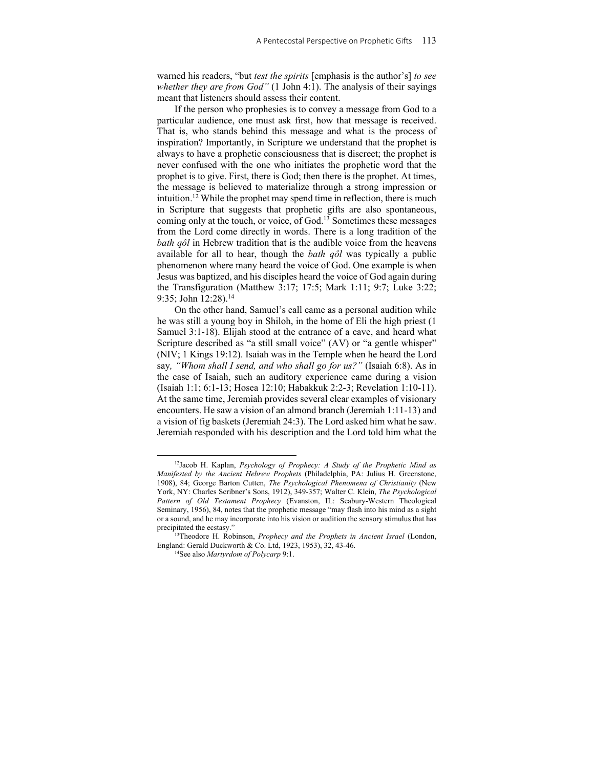warned his readers, "but *test the spirits* [emphasis is the author's] *to see whether they are from God"* (1 John 4:1). The analysis of their sayings meant that listeners should assess their content.

If the person who prophesies is to convey a message from God to a particular audience, one must ask first, how that message is received. That is, who stands behind this message and what is the process of inspiration? Importantly, in Scripture we understand that the prophet is always to have a prophetic consciousness that is discreet; the prophet is never confused with the one who initiates the prophetic word that the prophet is to give. First, there is God; then there is the prophet. At times, the message is believed to materialize through a strong impression or intuition.12 While the prophet may spend time in reflection, there is much in Scripture that suggests that prophetic gifts are also spontaneous, coming only at the touch, or voice, of God.<sup>13</sup> Sometimes these messages from the Lord come directly in words. There is a long tradition of the *bath qôl* in Hebrew tradition that is the audible voice from the heavens available for all to hear, though the *bath qôl* was typically a public phenomenon where many heard the voice of God. One example is when Jesus was baptized, and his disciples heard the voice of God again during the Transfiguration (Matthew 3:17; 17:5; Mark 1:11; 9:7; Luke 3:22; 9:35; John 12:28).14

On the other hand, Samuel's call came as a personal audition while he was still a young boy in Shiloh, in the home of Eli the high priest (1 Samuel 3:1-18). Elijah stood at the entrance of a cave, and heard what Scripture described as "a still small voice" (AV) or "a gentle whisper" (NIV; 1 Kings 19:12). Isaiah was in the Temple when he heard the Lord say*, "Whom shall I send, and who shall go for us?"* (Isaiah 6:8). As in the case of Isaiah, such an auditory experience came during a vision (Isaiah 1:1; 6:1-13; Hosea 12:10; Habakkuk 2:2-3; Revelation 1:10-11). At the same time, Jeremiah provides several clear examples of visionary encounters. He saw a vision of an almond branch (Jeremiah 1:11-13) and a vision of fig baskets (Jeremiah 24:3). The Lord asked him what he saw. Jeremiah responded with his description and the Lord told him what the

<sup>12</sup>Jacob H. Kaplan, *Psychology of Prophecy: A Study of the Prophetic Mind as Manifested by the Ancient Hebrew Prophets* (Philadelphia, PA: Julius H. Greenstone, 1908), 84; George Barton Cutten, *The Psychological Phenomena of Christianity* (New York, NY: Charles Scribner's Sons, 1912), 349-357; Walter C. Klein, *The Psychological Pattern of Old Testament Prophecy* (Evanston, IL: Seabury-Western Theological Seminary, 1956), 84, notes that the prophetic message "may flash into his mind as a sight or a sound, and he may incorporate into his vision or audition the sensory stimulus that has precipitated the ecstasy." 13Theodore H. Robinson, *Prophecy and the Prophets in Ancient Israel* (London,

England: Gerald Duckworth & Co. Ltd, 1923, 1953), 32, 43-46.<br><sup>14</sup>See also *Martyrdom of Polycarp* 9:1.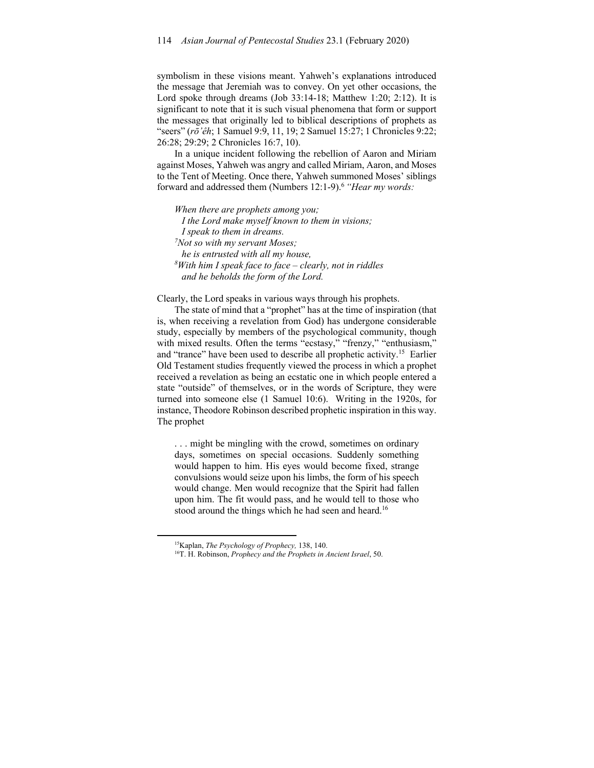symbolism in these visions meant. Yahweh's explanations introduced the message that Jeremiah was to convey. On yet other occasions, the Lord spoke through dreams (Job 33:14-18; Matthew 1:20; 2:12). It is significant to note that it is such visual phenomena that form or support the messages that originally led to biblical descriptions of prophets as "seers" (*rō'êh*; 1 Samuel 9:9, 11, 19; 2 Samuel 15:27; 1 Chronicles 9:22; 26:28; 29:29; 2 Chronicles 16:7, 10).

In a unique incident following the rebellion of Aaron and Miriam against Moses, Yahweh was angry and called Miriam, Aaron, and Moses to the Tent of Meeting. Once there, Yahweh summoned Moses' siblings forward and addressed them (Numbers 12:1-9).6 *"Hear my words:* 

*When there are prophets among you; I the Lord make myself known to them in visions; I speak to them in dreams. 7 Not so with my servant Moses; he is entrusted with all my house, 8 With him I speak face to face – clearly, not in riddles and he beholds the form of the Lord.* 

Clearly, the Lord speaks in various ways through his prophets.

The state of mind that a "prophet" has at the time of inspiration (that is, when receiving a revelation from God) has undergone considerable study, especially by members of the psychological community, though with mixed results. Often the terms "ecstasy," "frenzy," "enthusiasm," and "trance" have been used to describe all prophetic activity.15 Earlier Old Testament studies frequently viewed the process in which a prophet received a revelation as being an ecstatic one in which people entered a state "outside" of themselves, or in the words of Scripture, they were turned into someone else (1 Samuel 10:6). Writing in the 1920s, for instance, Theodore Robinson described prophetic inspiration in this way. The prophet

. . . might be mingling with the crowd, sometimes on ordinary days, sometimes on special occasions. Suddenly something would happen to him. His eyes would become fixed, strange convulsions would seize upon his limbs, the form of his speech would change. Men would recognize that the Spirit had fallen upon him. The fit would pass, and he would tell to those who stood around the things which he had seen and heard.<sup>16</sup>

<sup>&</sup>lt;sup>15</sup>Kaplan, *The Psychology of Prophecy*, 138, 140.<br><sup>16</sup>T. H. Robinson, *Prophecy and the Prophets in Ancient Israel*, 50.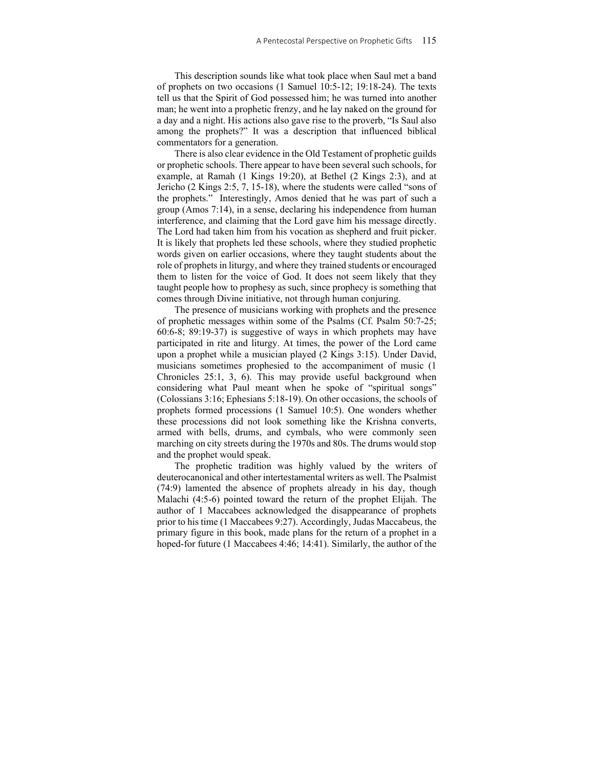This description sounds like what took place when Saul met a band of prophets on two occasions (1 Samuel 10:5-12; 19:18-24). The texts tell us that the Spirit of God possessed him; he was turned into another man; he went into a prophetic frenzy, and he lay naked on the ground for a day and a night. His actions also gave rise to the proverb, "Is Saul also among the prophets?" It was a description that influenced biblical commentators for a generation.

There is also clear evidence in the Old Testament of prophetic guilds or prophetic schools. There appear to have been several such schools, for example, at Ramah (1 Kings 19:20), at Bethel (2 Kings 2:3), and at Jericho (2 Kings 2:5, 7, 15-18), where the students were called "sons of the prophets." Interestingly, Amos denied that he was part of such a group (Amos 7:14), in a sense, declaring his independence from human interference, and claiming that the Lord gave him his message directly. The Lord had taken him from his vocation as shepherd and fruit picker. It is likely that prophets led these schools, where they studied prophetic words given on earlier occasions, where they taught students about the role of prophets in liturgy, and where they trained students or encouraged them to listen for the voice of God. It does not seem likely that they taught people how to prophesy as such, since prophecy is something that comes through Divine initiative, not through human conjuring.

The presence of musicians working with prophets and the presence of prophetic messages within some of the Psalms (Cf. Psalm 50:7-25; 60:6-8; 89:19-37) is suggestive of ways in which prophets may have participated in rite and liturgy. At times, the power of the Lord came upon a prophet while a musician played (2 Kings 3:15). Under David, musicians sometimes prophesied to the accompaniment of music (1 Chronicles 25:1, 3, 6). This may provide useful background when considering what Paul meant when he spoke of "spiritual songs" (Colossians 3:16; Ephesians 5:18-19). On other occasions, the schools of prophets formed processions (1 Samuel 10:5). One wonders whether these processions did not look something like the Krishna converts, armed with bells, drums, and cymbals, who were commonly seen marching on city streets during the 1970s and 80s. The drums would stop and the prophet would speak.

The prophetic tradition was highly valued by the writers of deuterocanonical and other intertestamental writers as well. The Psalmist (74:9) lamented the absence of prophets already in his day, though Malachi (4:5-6) pointed toward the return of the prophet Elijah. The author of 1 Maccabees acknowledged the disappearance of prophets prior to his time (1 Maccabees 9:27). Accordingly, Judas Maccabeus, the primary figure in this book, made plans for the return of a prophet in a hoped-for future (1 Maccabees 4:46; 14:41). Similarly, the author of the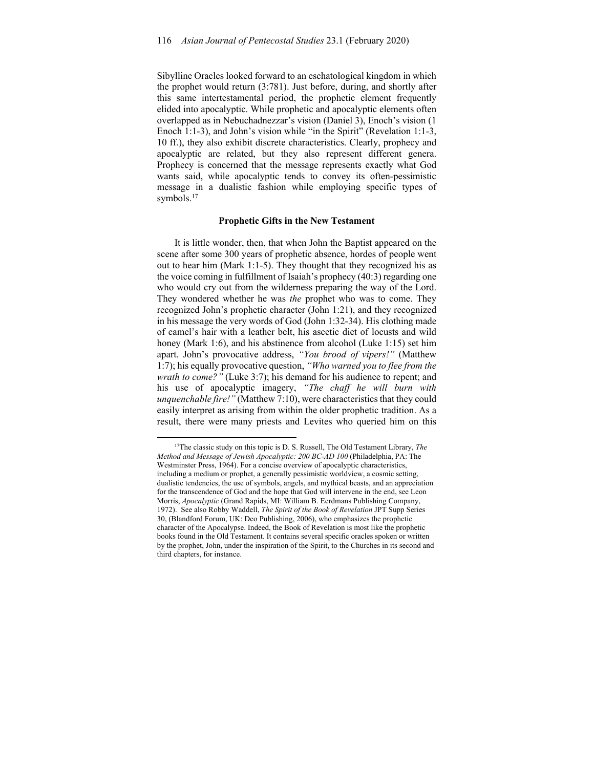Sibylline Oracles looked forward to an eschatological kingdom in which the prophet would return (3:781). Just before, during, and shortly after this same intertestamental period, the prophetic element frequently elided into apocalyptic. While prophetic and apocalyptic elements often overlapped as in Nebuchadnezzar's vision (Daniel 3), Enoch's vision (1 Enoch 1:1-3), and John's vision while "in the Spirit" (Revelation 1:1-3, 10 ff.), they also exhibit discrete characteristics. Clearly, prophecy and apocalyptic are related, but they also represent different genera. Prophecy is concerned that the message represents exactly what God wants said, while apocalyptic tends to convey its often-pessimistic message in a dualistic fashion while employing specific types of symbols.<sup>17</sup>

## **Prophetic Gifts in the New Testament**

It is little wonder, then, that when John the Baptist appeared on the scene after some 300 years of prophetic absence, hordes of people went out to hear him (Mark 1:1-5). They thought that they recognized his as the voice coming in fulfillment of Isaiah's prophecy (40:3) regarding one who would cry out from the wilderness preparing the way of the Lord. They wondered whether he was *the* prophet who was to come. They recognized John's prophetic character (John 1:21), and they recognized in his message the very words of God (John 1:32-34). His clothing made of camel's hair with a leather belt, his ascetic diet of locusts and wild honey (Mark 1:6), and his abstinence from alcohol (Luke 1:15) set him apart. John's provocative address, *"You brood of vipers!"* (Matthew 1:7); his equally provocative question, *"Who warned you to flee from the wrath to come?"* (Luke 3:7); his demand for his audience to repent; and his use of apocalyptic imagery, *"The chaff he will burn with unquenchable fire!"* (Matthew 7:10), were characteristics that they could easily interpret as arising from within the older prophetic tradition. As a result, there were many priests and Levites who queried him on this

<sup>17</sup>The classic study on this topic is D. S. Russell, The Old Testament Library, *The Method and Message of Jewish Apocalyptic: 200 BC-AD 100 (Philadelphia, PA: The* Westminster Press, 1964). For a concise overview of apocalyptic characteristics, including a medium or prophet, a generally pessimistic worldview, a cosmic setting, dualistic tendencies, the use of symbols, angels, and mythical beasts, and an appreciation for the transcendence of God and the hope that God will intervene in the end, see Leon Morris, *Apocalyptic* (Grand Rapids, MI: William B. Eerdmans Publishing Company, 1972). See also Robby Waddell, *The Spirit of the Book of Revelation* JPT Supp Series 30, (Blandford Forum, UK: Deo Publishing, 2006), who emphasizes the prophetic character of the Apocalypse. Indeed, the Book of Revelation is most like the prophetic books found in the Old Testament. It contains several specific oracles spoken or written by the prophet, John, under the inspiration of the Spirit, to the Churches in its second and third chapters, for instance.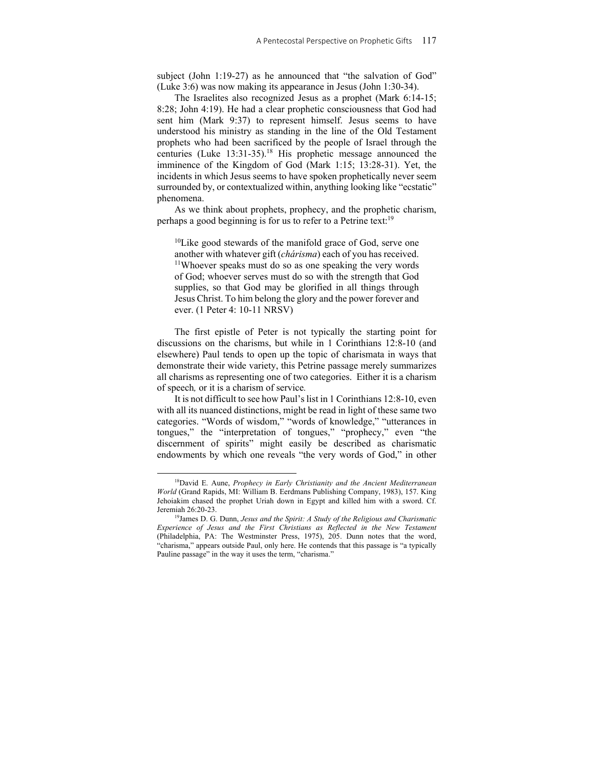subject (John 1:19-27) as he announced that "the salvation of God" (Luke 3:6) was now making its appearance in Jesus (John 1:30-34).

The Israelites also recognized Jesus as a prophet (Mark 6:14-15; 8:28; John 4:19). He had a clear prophetic consciousness that God had sent him (Mark 9:37) to represent himself. Jesus seems to have understood his ministry as standing in the line of the Old Testament prophets who had been sacrificed by the people of Israel through the centuries (Luke 13:31-35).<sup>18</sup> His prophetic message announced the imminence of the Kingdom of God (Mark 1:15; 13:28-31). Yet, the incidents in which Jesus seems to have spoken prophetically never seem surrounded by, or contextualized within, anything looking like "ecstatic" phenomena.

As we think about prophets, prophecy, and the prophetic charism, perhaps a good beginning is for us to refer to a Petrine text:<sup>19</sup>

<sup>10</sup>Like good stewards of the manifold grace of God, serve one another with whatever gift (*chárisma*) each of you has received. 11Whoever speaks must do so as one speaking the very words of God; whoever serves must do so with the strength that God supplies, so that God may be glorified in all things through Jesus Christ. To him belong the glory and the power forever and ever. (1 Peter 4: 10-11 NRSV)

The first epistle of Peter is not typically the starting point for discussions on the charisms, but while in 1 Corinthians 12:8-10 (and elsewhere) Paul tends to open up the topic of charismata in ways that demonstrate their wide variety, this Petrine passage merely summarizes all charisms as representing one of two categories. Either it is a charism of speech*,* or it is a charism of service*.*

It is not difficult to see how Paul's list in 1 Corinthians 12:8-10, even with all its nuanced distinctions, might be read in light of these same two categories. "Words of wisdom," "words of knowledge," "utterances in tongues," the "interpretation of tongues," "prophecy," even "the discernment of spirits" might easily be described as charismatic endowments by which one reveals "the very words of God," in other

<sup>18</sup>David E. Aune, *Prophecy in Early Christianity and the Ancient Mediterranean World* (Grand Rapids, MI: William B. Eerdmans Publishing Company, 1983), 157. King Jehoiakim chased the prophet Uriah down in Egypt and killed him with a sword. Cf. Jeremiah 26:20-23. 19James D. G. Dunn, *Jesus and the Spirit: A Study of the Religious and Charismatic* 

*Experience of Jesus and the First Christians as Reflected in the New Testament* (Philadelphia, PA: The Westminster Press, 1975), 205. Dunn notes that the word, "charisma," appears outside Paul, only here. He contends that this passage is "a typically Pauline passage" in the way it uses the term, "charisma."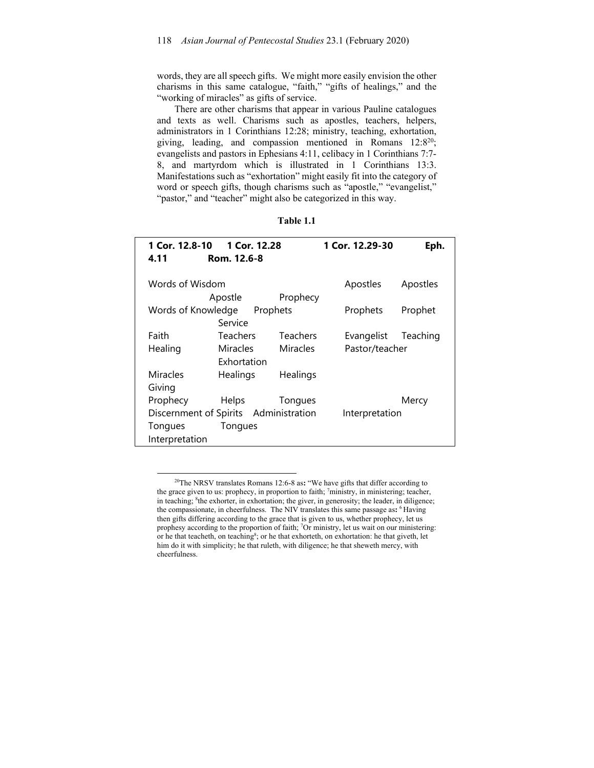words, they are all speech gifts. We might more easily envision the other charisms in this same catalogue, "faith," "gifts of healings," and the "working of miracles" as gifts of service.

There are other charisms that appear in various Pauline catalogues and texts as well. Charisms such as apostles, teachers, helpers, administrators in 1 Corinthians 12:28; ministry, teaching, exhortation, giving, leading, and compassion mentioned in Romans 12:820; evangelists and pastors in Ephesians 4:11, celibacy in 1 Corinthians 7:7- 8, and martyrdom which is illustrated in 1 Corinthians 13:3. Manifestations such as "exhortation" might easily fit into the category of word or speech gifts, though charisms such as "apostle," "evangelist," "pastor," and "teacher" might also be categorized in this way.

| ank<br>г |  |
|----------|--|
|----------|--|

| 1 Cor. 12.8-10                        | 1 Cor. 12.28    |                | 1 Cor. 12.29-30 | Eph.     |
|---------------------------------------|-----------------|----------------|-----------------|----------|
| 4.11                                  | Rom. 12.6-8     |                |                 |          |
|                                       |                 |                |                 |          |
| Words of Wisdom                       |                 |                | Apostles        | Apostles |
|                                       | Apostle         | Prophecy       |                 |          |
| Words of Knowledge                    |                 | Prophets       | Prophets        | Prophet  |
|                                       | Service         |                |                 |          |
| Faith                                 | <b>Teachers</b> | Teachers       | Evangelist      | Teaching |
| Healing                               | Miracles        | Miracles       | Pastor/teacher  |          |
|                                       | Exhortation     |                |                 |          |
| Miracles                              | Healings        | Healings       |                 |          |
| Giving                                |                 |                |                 |          |
| Prophecy                              | Helps           | Tongues        |                 | Mercy    |
| Discernment of Spirits Administration |                 | Interpretation |                 |          |
| Tongues                               | Tongues         |                |                 |          |
| Interpretation                        |                 |                |                 |          |

<sup>20</sup>The NRSV translates Romans 12:6-8 as**:** "We have gifts that differ according to the grace given to us: prophecy, in proportion to faith;  $\frac{7}{1}$  ministry, in ministering; teacher, in teaching; <sup>8</sup>the exhorter, in exhortation; the giver, in generosity; the leader, in diligence; the compassionate, in cheerfulness. The NIV translates this same passage as**:** 6 Having then gifts differing according to the grace that is given to us, whether prophecy, let us prophesy according to the proportion of faith; <sup>7</sup>Or ministry, let us wait on our ministering: or he that teacheth, on teaching<sup>8</sup>; or he that exhorteth, on exhortation: he that giveth, let him do it with simplicity; he that ruleth, with diligence; he that sheweth mercy, with cheerfulness.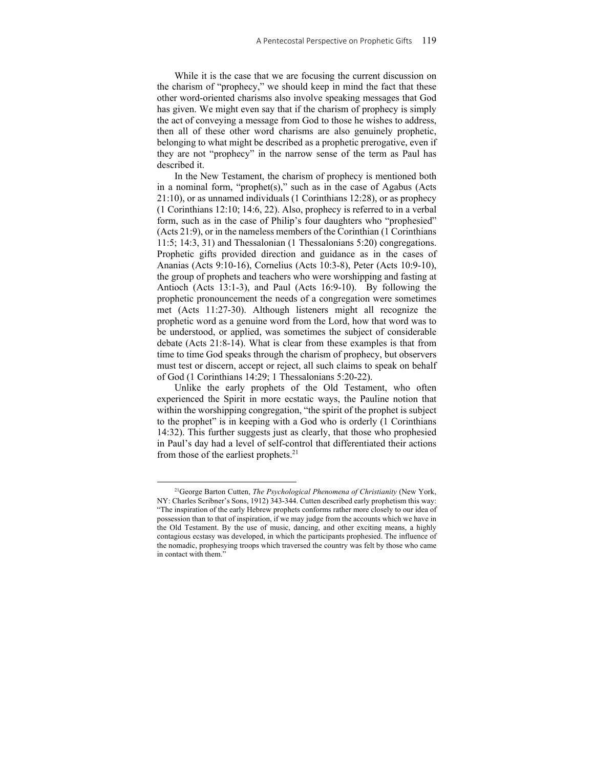While it is the case that we are focusing the current discussion on the charism of "prophecy," we should keep in mind the fact that these other word-oriented charisms also involve speaking messages that God has given. We might even say that if the charism of prophecy is simply the act of conveying a message from God to those he wishes to address, then all of these other word charisms are also genuinely prophetic, belonging to what might be described as a prophetic prerogative, even if they are not "prophecy" in the narrow sense of the term as Paul has described it.

In the New Testament, the charism of prophecy is mentioned both in a nominal form, "prophet(s)," such as in the case of Agabus (Acts 21:10), or as unnamed individuals (1 Corinthians 12:28), or as prophecy (1 Corinthians 12:10; 14:6, 22). Also, prophecy is referred to in a verbal form, such as in the case of Philip's four daughters who "prophesied" (Acts 21:9), or in the nameless members of the Corinthian (1 Corinthians 11:5; 14:3, 31) and Thessalonian (1 Thessalonians 5:20) congregations. Prophetic gifts provided direction and guidance as in the cases of Ananias (Acts 9:10-16), Cornelius (Acts 10:3-8), Peter (Acts 10:9-10), the group of prophets and teachers who were worshipping and fasting at Antioch (Acts 13:1-3), and Paul (Acts 16:9-10). By following the prophetic pronouncement the needs of a congregation were sometimes met (Acts 11:27-30). Although listeners might all recognize the prophetic word as a genuine word from the Lord, how that word was to be understood, or applied, was sometimes the subject of considerable debate (Acts 21:8-14). What is clear from these examples is that from time to time God speaks through the charism of prophecy, but observers must test or discern, accept or reject, all such claims to speak on behalf of God (1 Corinthians 14:29; 1 Thessalonians 5:20-22).

Unlike the early prophets of the Old Testament, who often experienced the Spirit in more ecstatic ways, the Pauline notion that within the worshipping congregation, "the spirit of the prophet is subject to the prophet" is in keeping with a God who is orderly (1 Corinthians 14:32). This further suggests just as clearly, that those who prophesied in Paul's day had a level of self-control that differentiated their actions from those of the earliest prophets.<sup>21</sup>

<sup>21</sup>George Barton Cutten, *The Psychological Phenomena of Christianity* (New York, NY: Charles Scribner's Sons, 1912) 343-344. Cutten described early prophetism this way: "The inspiration of the early Hebrew prophets conforms rather more closely to our idea of possession than to that of inspiration, if we may judge from the accounts which we have in the Old Testament. By the use of music, dancing, and other exciting means, a highly contagious ecstasy was developed, in which the participants prophesied. The influence of the nomadic, prophesying troops which traversed the country was felt by those who came in contact with them."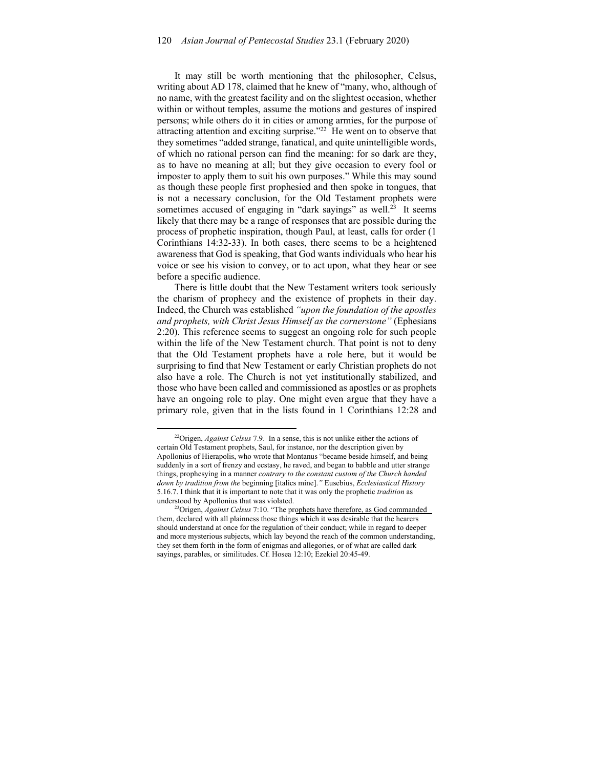It may still be worth mentioning that the philosopher, Celsus, writing about AD 178, claimed that he knew of "many, who, although of no name, with the greatest facility and on the slightest occasion, whether within or without temples, assume the motions and gestures of inspired persons; while others do it in cities or among armies, for the purpose of attracting attention and exciting surprise."22 He went on to observe that they sometimes "added strange, fanatical, and quite unintelligible words, of which no rational person can find the meaning: for so dark are they, as to have no meaning at all; but they give occasion to every fool or imposter to apply them to suit his own purposes." While this may sound as though these people first prophesied and then spoke in tongues, that is not a necessary conclusion, for the Old Testament prophets were sometimes accused of engaging in "dark sayings" as well.<sup>23</sup> It seems likely that there may be a range of responses that are possible during the process of prophetic inspiration, though Paul, at least, calls for order (1 Corinthians 14:32-33). In both cases, there seems to be a heightened awareness that God is speaking, that God wants individuals who hear his voice or see his vision to convey, or to act upon, what they hear or see before a specific audience.

There is little doubt that the New Testament writers took seriously the charism of prophecy and the existence of prophets in their day. Indeed, the Church was established *"upon the foundation of the apostles and prophets, with Christ Jesus Himself as the cornerstone"* (Ephesians 2:20). This reference seems to suggest an ongoing role for such people within the life of the New Testament church. That point is not to deny that the Old Testament prophets have a role here, but it would be surprising to find that New Testament or early Christian prophets do not also have a role. The Church is not yet institutionally stabilized, and those who have been called and commissioned as apostles or as prophets have an ongoing role to play. One might even argue that they have a primary role, given that in the lists found in 1 Corinthians 12:28 and

<sup>22</sup>Origen, *Against Celsus* 7.9. In a sense, this is not unlike either the actions of certain Old Testament prophets, Saul, for instance, nor the description given by Apollonius of Hierapolis, who wrote that Montanus "became beside himself, and being suddenly in a sort of frenzy and ecstasy, he raved, and began to babble and utter strange things, prophesying in a manner *contrary to the constant custom of the Church handed down by tradition from the* beginning [italics mine].*"* Eusebius, *Ecclesiastical History* 5.16.7. I think that it is important to note that it was only the prophetic *tradition* as understood by Apollonius that was violated.

<sup>23</sup>Origen, *Against Celsus* 7:10. "The prophets have therefore, as God commanded them, declared with all plainness those things which it was desirable that the hearers should understand at once for the regulation of their conduct; while in regard to deeper and more mysterious subjects, which lay beyond the reach of the common understanding, they set them forth in the form of enigmas and allegories, or of what are called dark sayings, parables, or similitudes. Cf. Hosea 12:10; Ezekiel 20:45-49.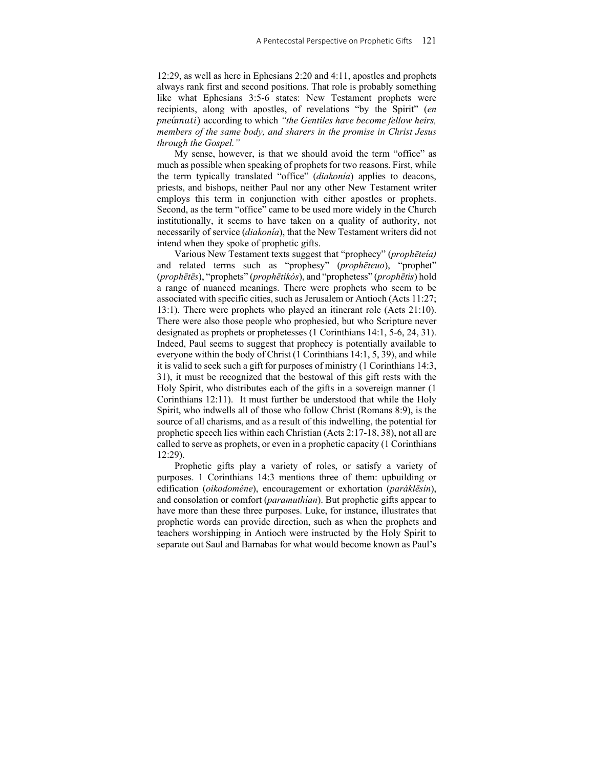12:29, as well as here in Ephesians 2:20 and 4:11, apostles and prophets always rank first and second positions. That role is probably something like what Ephesians 3:5-6 states: New Testament prophets were recipients, along with apostles, of revelations "by the Spirit" (*en pne*úmati) according to which "*the Gentiles have become fellow heirs*, *members of the same body, and sharers in the promise in Christ Jesus through the Gospel."* 

My sense, however, is that we should avoid the term "office" as much as possible when speaking of prophets for two reasons. First, while the term typically translated "office" (*diakonía*) applies to deacons, priests, and bishops, neither Paul nor any other New Testament writer employs this term in conjunction with either apostles or prophets. Second, as the term "office" came to be used more widely in the Church institutionally, it seems to have taken on a quality of authority, not necessarily of service (*diakonía*), that the New Testament writers did not intend when they spoke of prophetic gifts.

Various New Testament texts suggest that "prophecy" (*prophēteía)* and related terms such as "prophesy" (*prophēteuo*), "prophet" (*prophētēs*), "prophets" (*prophētikós*), and "prophetess" (*prophētis*) hold a range of nuanced meanings. There were prophets who seem to be associated with specific cities, such as Jerusalem or Antioch (Acts 11:27; 13:1). There were prophets who played an itinerant role (Acts 21:10). There were also those people who prophesied, but who Scripture never designated as prophets or prophetesses (1 Corinthians 14:1, 5-6, 24, 31). Indeed, Paul seems to suggest that prophecy is potentially available to everyone within the body of Christ (1 Corinthians 14:1, 5, 39), and while it is valid to seek such a gift for purposes of ministry (1 Corinthians 14:3, 31), it must be recognized that the bestowal of this gift rests with the Holy Spirit, who distributes each of the gifts in a sovereign manner (1 Corinthians 12:11). It must further be understood that while the Holy Spirit, who indwells all of those who follow Christ (Romans 8:9), is the source of all charisms, and as a result of this indwelling, the potential for prophetic speech lies within each Christian (Acts 2:17-18, 38), not all are called to serve as prophets, or even in a prophetic capacity (1 Corinthians 12:29).

Prophetic gifts play a variety of roles, or satisfy a variety of purposes. 1 Corinthians 14:3 mentions three of them: upbuilding or edification (*oikodomène*), encouragement or exhortation (*paráklēsin*), and consolation or comfort (*paramuthían*). But prophetic gifts appear to have more than these three purposes. Luke, for instance, illustrates that prophetic words can provide direction, such as when the prophets and teachers worshipping in Antioch were instructed by the Holy Spirit to separate out Saul and Barnabas for what would become known as Paul's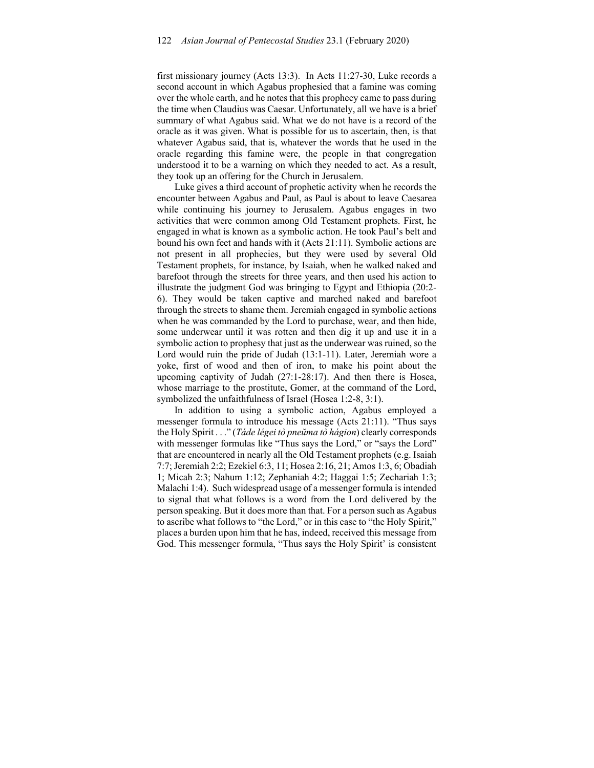first missionary journey (Acts 13:3). In Acts 11:27-30, Luke records a second account in which Agabus prophesied that a famine was coming over the whole earth, and he notes that this prophecy came to pass during the time when Claudius was Caesar. Unfortunately, all we have is a brief summary of what Agabus said. What we do not have is a record of the oracle as it was given. What is possible for us to ascertain, then, is that whatever Agabus said, that is, whatever the words that he used in the oracle regarding this famine were, the people in that congregation understood it to be a warning on which they needed to act. As a result, they took up an offering for the Church in Jerusalem.

Luke gives a third account of prophetic activity when he records the encounter between Agabus and Paul, as Paul is about to leave Caesarea while continuing his journey to Jerusalem. Agabus engages in two activities that were common among Old Testament prophets. First, he engaged in what is known as a symbolic action. He took Paul's belt and bound his own feet and hands with it (Acts 21:11). Symbolic actions are not present in all prophecies, but they were used by several Old Testament prophets, for instance, by Isaiah, when he walked naked and barefoot through the streets for three years, and then used his action to illustrate the judgment God was bringing to Egypt and Ethiopia (20:2- 6). They would be taken captive and marched naked and barefoot through the streets to shame them. Jeremiah engaged in symbolic actions when he was commanded by the Lord to purchase, wear, and then hide, some underwear until it was rotten and then dig it up and use it in a symbolic action to prophesy that just as the underwear was ruined, so the Lord would ruin the pride of Judah (13:1-11). Later, Jeremiah wore a yoke, first of wood and then of iron, to make his point about the upcoming captivity of Judah (27:1-28:17). And then there is Hosea, whose marriage to the prostitute, Gomer, at the command of the Lord, symbolized the unfaithfulness of Israel (Hosea 1:2-8, 3:1).

In addition to using a symbolic action, Agabus employed a messenger formula to introduce his message (Acts 21:11). "Thus says the Holy Spirit . . ." (*Táde légei tò pneŭma tò hágion*) clearly corresponds with messenger formulas like "Thus says the Lord," or "says the Lord" that are encountered in nearly all the Old Testament prophets (e.g. Isaiah 7:7; Jeremiah 2:2; Ezekiel 6:3, 11; Hosea 2:16, 21; Amos 1:3, 6; Obadiah 1; Micah 2:3; Nahum 1:12; Zephaniah 4:2; Haggai 1:5; Zechariah 1:3; Malachi 1:4). Such widespread usage of a messenger formula is intended to signal that what follows is a word from the Lord delivered by the person speaking. But it does more than that. For a person such as Agabus to ascribe what follows to "the Lord," or in this case to "the Holy Spirit," places a burden upon him that he has, indeed, received this message from God. This messenger formula, "Thus says the Holy Spirit' is consistent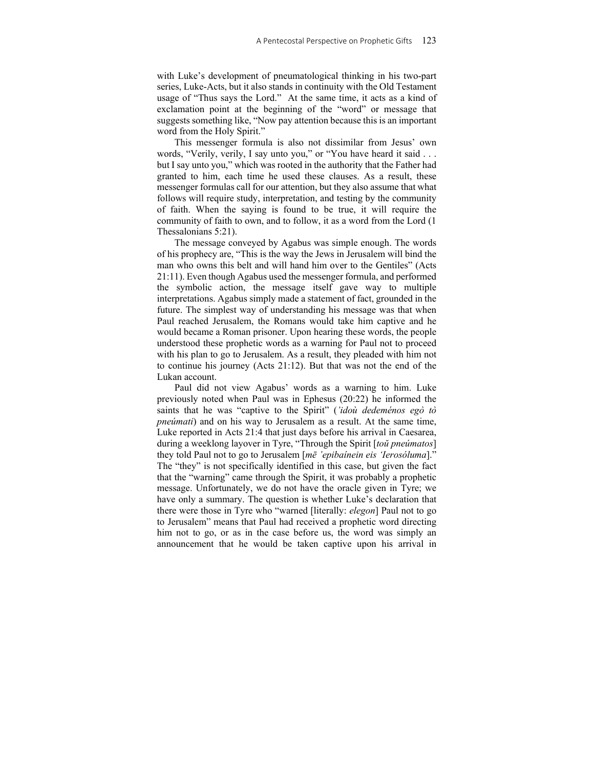with Luke's development of pneumatological thinking in his two-part series, Luke-Acts, but it also stands in continuity with the Old Testament usage of "Thus says the Lord." At the same time, it acts as a kind of exclamation point at the beginning of the "word" or message that suggests something like, "Now pay attention because this is an important word from the Holy Spirit."

This messenger formula is also not dissimilar from Jesus' own words, "Verily, verily, I say unto you," or "You have heard it said . . . but I say unto you," which was rooted in the authority that the Father had granted to him, each time he used these clauses. As a result, these messenger formulas call for our attention, but they also assume that what follows will require study, interpretation, and testing by the community of faith. When the saying is found to be true, it will require the community of faith to own, and to follow, it as a word from the Lord (1 Thessalonians 5:21).

The message conveyed by Agabus was simple enough. The words of his prophecy are, "This is the way the Jews in Jerusalem will bind the man who owns this belt and will hand him over to the Gentiles" (Acts 21:11). Even though Agabus used the messenger formula, and performed the symbolic action, the message itself gave way to multiple interpretations. Agabus simply made a statement of fact, grounded in the future. The simplest way of understanding his message was that when Paul reached Jerusalem, the Romans would take him captive and he would became a Roman prisoner. Upon hearing these words, the people understood these prophetic words as a warning for Paul not to proceed with his plan to go to Jerusalem. As a result, they pleaded with him not to continue his journey (Acts 21:12). But that was not the end of the Lukan account.

Paul did not view Agabus' words as a warning to him. Luke previously noted when Paul was in Ephesus (20:22) he informed the saints that he was "captive to the Spirit" (*'idoù dedeménos egò tò pneúmati*) and on his way to Jerusalem as a result. At the same time, Luke reported in Acts 21:4 that just days before his arrival in Caesarea, during a weeklong layover in Tyre, "Through the Spirit [*toŭ pneúmatos*] they told Paul not to go to Jerusalem [*mē 'epibaínein eis 'Ierosóluma*]." The "they" is not specifically identified in this case, but given the fact that the "warning" came through the Spirit, it was probably a prophetic message. Unfortunately, we do not have the oracle given in Tyre; we have only a summary. The question is whether Luke's declaration that there were those in Tyre who "warned [literally: *elegon*] Paul not to go to Jerusalem" means that Paul had received a prophetic word directing him not to go, or as in the case before us, the word was simply an announcement that he would be taken captive upon his arrival in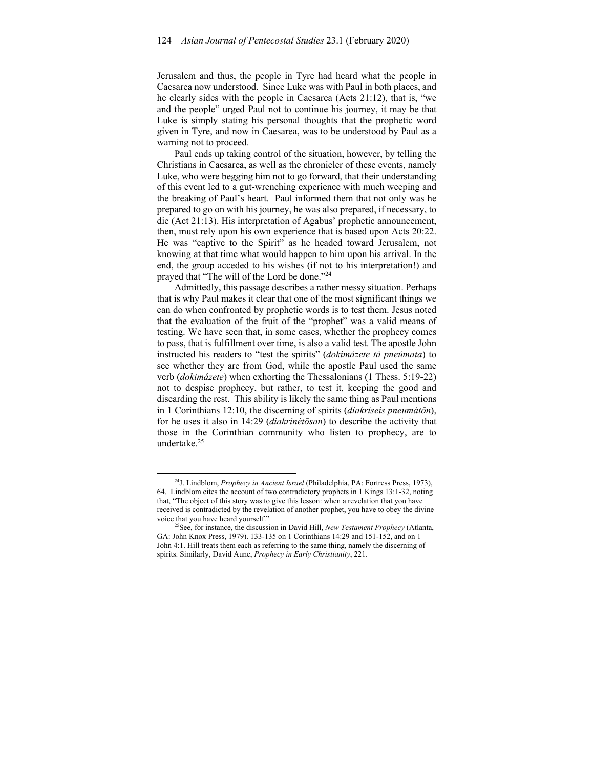Jerusalem and thus, the people in Tyre had heard what the people in Caesarea now understood. Since Luke was with Paul in both places, and he clearly sides with the people in Caesarea (Acts 21:12), that is, "we and the people" urged Paul not to continue his journey, it may be that Luke is simply stating his personal thoughts that the prophetic word given in Tyre, and now in Caesarea, was to be understood by Paul as a warning not to proceed.

Paul ends up taking control of the situation, however, by telling the Christians in Caesarea, as well as the chronicler of these events, namely Luke, who were begging him not to go forward, that their understanding of this event led to a gut-wrenching experience with much weeping and the breaking of Paul's heart. Paul informed them that not only was he prepared to go on with his journey, he was also prepared, if necessary, to die (Act 21:13). His interpretation of Agabus' prophetic announcement, then, must rely upon his own experience that is based upon Acts 20:22. He was "captive to the Spirit" as he headed toward Jerusalem, not knowing at that time what would happen to him upon his arrival. In the end, the group acceded to his wishes (if not to his interpretation!) and prayed that "The will of the Lord be done."24

Admittedly, this passage describes a rather messy situation. Perhaps that is why Paul makes it clear that one of the most significant things we can do when confronted by prophetic words is to test them. Jesus noted that the evaluation of the fruit of the "prophet" was a valid means of testing. We have seen that, in some cases, whether the prophecy comes to pass, that is fulfillment over time, is also a valid test. The apostle John instructed his readers to "test the spirits" (*dokimázete tà pneúmata*) to see whether they are from God, while the apostle Paul used the same verb (*dokimázete*) when exhorting the Thessalonians (1 Thess. 5:19-22) not to despise prophecy, but rather, to test it, keeping the good and discarding the rest. This ability is likely the same thing as Paul mentions in 1 Corinthians 12:10, the discerning of spirits (*diakríseis pneumátōn*), for he uses it also in 14:29 (*diakrinétōsan*) to describe the activity that those in the Corinthian community who listen to prophecy, are to undertake.25

<sup>24</sup>J. Lindblom, *Prophecy in Ancient Israel* (Philadelphia, PA: Fortress Press, 1973), 64. Lindblom cites the account of two contradictory prophets in 1 Kings 13:1-32, noting that, "The object of this story was to give this lesson: when a revelation that you have received is contradicted by the revelation of another prophet, you have to obey the divine voice that you have heard yourself." 25See, for instance, the discussion in David Hill, *New Testament Prophecy* (Atlanta,

GA: John Knox Press, 1979). 133-135 on 1 Corinthians 14:29 and 151-152, and on 1 John 4:1. Hill treats them each as referring to the same thing, namely the discerning of spirits. Similarly, David Aune, *Prophecy in Early Christianity*, 221.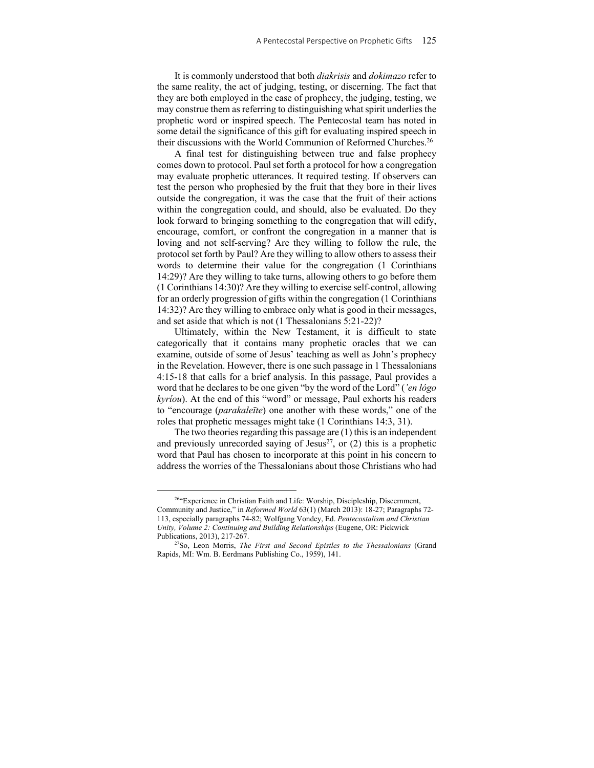It is commonly understood that both *diakrisis* and *dokimazo* refer to the same reality, the act of judging, testing, or discerning. The fact that they are both employed in the case of prophecy, the judging, testing, we may construe them as referring to distinguishing what spirit underlies the prophetic word or inspired speech. The Pentecostal team has noted in some detail the significance of this gift for evaluating inspired speech in their discussions with the World Communion of Reformed Churches.<sup>26</sup>

A final test for distinguishing between true and false prophecy comes down to protocol. Paul set forth a protocol for how a congregation may evaluate prophetic utterances. It required testing. If observers can test the person who prophesied by the fruit that they bore in their lives outside the congregation, it was the case that the fruit of their actions within the congregation could, and should, also be evaluated. Do they look forward to bringing something to the congregation that will edify, encourage, comfort, or confront the congregation in a manner that is loving and not self-serving? Are they willing to follow the rule, the protocol set forth by Paul? Are they willing to allow others to assess their words to determine their value for the congregation (1 Corinthians 14:29)? Are they willing to take turns, allowing others to go before them (1 Corinthians 14:30)? Are they willing to exercise self-control, allowing for an orderly progression of gifts within the congregation (1 Corinthians 14:32)? Are they willing to embrace only what is good in their messages, and set aside that which is not (1 Thessalonians 5:21-22)?

Ultimately, within the New Testament, it is difficult to state categorically that it contains many prophetic oracles that we can examine, outside of some of Jesus' teaching as well as John's prophecy in the Revelation. However, there is one such passage in 1 Thessalonians 4:15-18 that calls for a brief analysis. In this passage, Paul provides a word that he declares to be one given "by the word of the Lord" (*'en lógo kyríou*). At the end of this "word" or message, Paul exhorts his readers to "encourage (*parakaleīte*) one another with these words," one of the roles that prophetic messages might take (1 Corinthians 14:3, 31).

The two theories regarding this passage are (1) this is an independent and previously unrecorded saying of Jesus<sup>27</sup>, or  $(2)$  this is a prophetic word that Paul has chosen to incorporate at this point in his concern to address the worries of the Thessalonians about those Christians who had

<sup>26&</sup>quot;Experience in Christian Faith and Life: Worship, Discipleship, Discernment, Community and Justice," in *Reformed World* 63(1) (March 2013): 18-27; Paragraphs 72- 113, especially paragraphs 74-82; Wolfgang Vondey, Ed. *Pentecostalism and Christian Unity, Volume 2: Continuing and Building Relationships* (Eugene, OR: Pickwick Publications, 2013), 217-267. 27So, Leon Morris, *The First and Second Epistles to the Thessalonians* (Grand

Rapids, MI: Wm. B. Eerdmans Publishing Co., 1959), 141.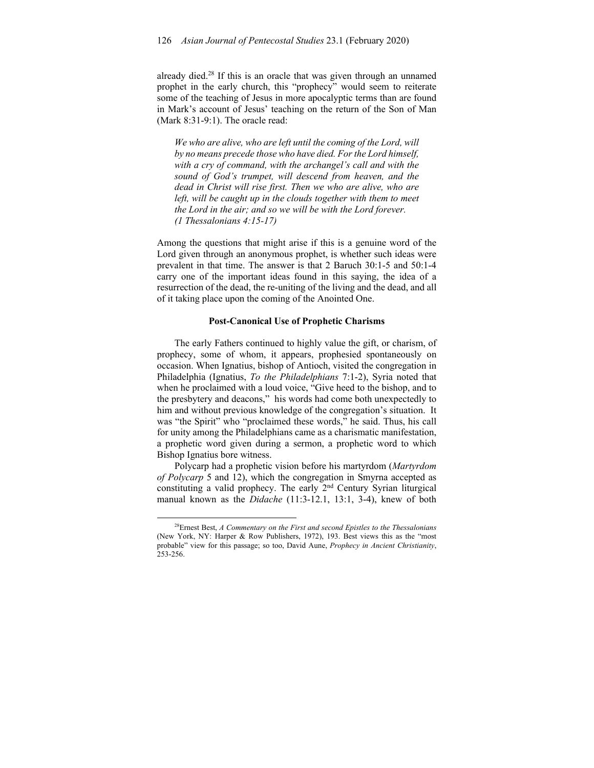already died.28 If this is an oracle that was given through an unnamed prophet in the early church, this "prophecy" would seem to reiterate some of the teaching of Jesus in more apocalyptic terms than are found in Mark's account of Jesus' teaching on the return of the Son of Man (Mark 8:31-9:1). The oracle read:

*We who are alive, who are left until the coming of the Lord, will by no means precede those who have died. For the Lord himself, with a cry of command, with the archangel's call and with the sound of God's trumpet, will descend from heaven, and the dead in Christ will rise first. Then we who are alive, who are left, will be caught up in the clouds together with them to meet the Lord in the air; and so we will be with the Lord forever. (1 Thessalonians 4:15-17)* 

Among the questions that might arise if this is a genuine word of the Lord given through an anonymous prophet, is whether such ideas were prevalent in that time. The answer is that 2 Baruch 30:1-5 and 50:1-4 carry one of the important ideas found in this saying, the idea of a resurrection of the dead, the re-uniting of the living and the dead, and all of it taking place upon the coming of the Anointed One.

#### **Post-Canonical Use of Prophetic Charisms**

The early Fathers continued to highly value the gift, or charism, of prophecy, some of whom, it appears, prophesied spontaneously on occasion. When Ignatius, bishop of Antioch, visited the congregation in Philadelphia (Ignatius, *To the Philadelphians* 7:1-2), Syria noted that when he proclaimed with a loud voice, "Give heed to the bishop, and to the presbytery and deacons," his words had come both unexpectedly to him and without previous knowledge of the congregation's situation. It was "the Spirit" who "proclaimed these words," he said. Thus, his call for unity among the Philadelphians came as a charismatic manifestation, a prophetic word given during a sermon, a prophetic word to which Bishop Ignatius bore witness.

Polycarp had a prophetic vision before his martyrdom (*Martyrdom of Polycarp* 5 and 12), which the congregation in Smyrna accepted as constituting a valid prophecy. The early 2nd Century Syrian liturgical manual known as the *Didache* (11:3-12.1, 13:1, 3-4), knew of both

<sup>28</sup>Ernest Best, *A Commentary on the First and second Epistles to the Thessalonians*  (New York, NY: Harper & Row Publishers, 1972), 193. Best views this as the "most probable" view for this passage; so too, David Aune, *Prophecy in Ancient Christianity*, 253-256.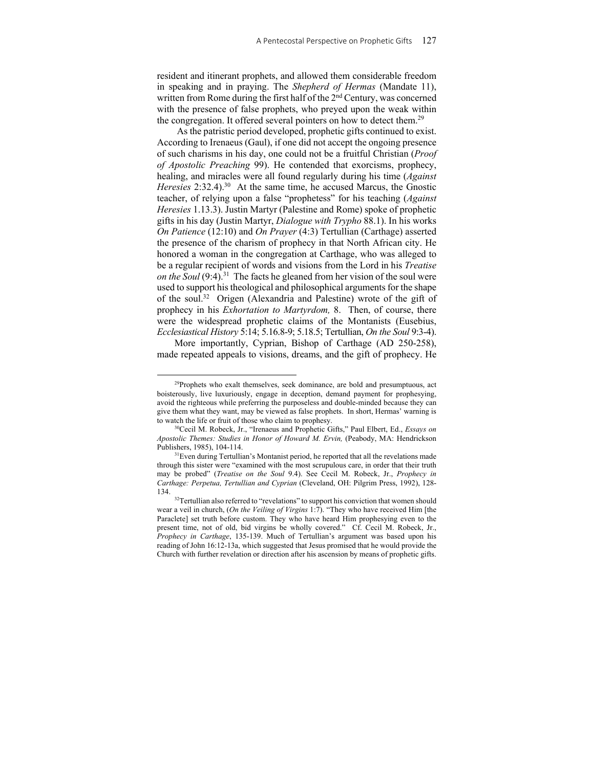resident and itinerant prophets, and allowed them considerable freedom in speaking and in praying. The *Shepherd of Hermas* (Mandate 11), written from Rome during the first half of the 2<sup>nd</sup> Century, was concerned with the presence of false prophets, who preyed upon the weak within the congregation. It offered several pointers on how to detect them.<sup>29</sup>

 As the patristic period developed, prophetic gifts continued to exist. According to Irenaeus (Gaul), if one did not accept the ongoing presence of such charisms in his day, one could not be a fruitful Christian (*Proof of Apostolic Preaching* 99). He contended that exorcisms, prophecy, healing, and miracles were all found regularly during his time (*Against Heresies* 2:32.4).<sup>30</sup> At the same time, he accused Marcus, the Gnostic teacher, of relying upon a false "prophetess" for his teaching (*Against Heresies* 1.13.3). Justin Martyr (Palestine and Rome) spoke of prophetic gifts in his day (Justin Martyr, *Dialogue with Trypho* 88.1). In his works *On Patience* (12:10) and *On Prayer* (4:3) Tertullian (Carthage) asserted the presence of the charism of prophecy in that North African city. He honored a woman in the congregation at Carthage, who was alleged to be a regular recipient of words and visions from the Lord in his *Treatise on the Soul* (9:4).<sup>31</sup> The facts he gleaned from her vision of the soul were used to support his theological and philosophical arguments for the shape of the soul.32 Origen (Alexandria and Palestine) wrote of the gift of prophecy in his *Exhortation to Martyrdom,* 8. Then, of course, there were the widespread prophetic claims of the Montanists (Eusebius, *Ecclesiastical History* 5:14; 5.16.8-9; 5.18.5; Tertullian, *On the Soul* 9:3-4).

More importantly, Cyprian, Bishop of Carthage (AD 250-258), made repeated appeals to visions, dreams, and the gift of prophecy. He

<sup>&</sup>lt;sup>29</sup>Prophets who exalt themselves, seek dominance, are bold and presumptuous, act boisterously, live luxuriously, engage in deception, demand payment for prophesying, avoid the righteous while preferring the purposeless and double-minded because they can give them what they want, may be viewed as false prophets. In short, Hermas' warning is to watch the life or fruit of those who claim to prophesy.<br><sup>30</sup>Cecil M. Robeck, Jr., "Irenaeus and Prophetic Gifts," Paul Elbert, Ed., *Essays on* 

*Apostolic Themes: Studies in Honor of Howard M. Ervin,* (Peabody, MA: Hendrickson Publishers, 1985), 104-114.<br> $31$ Even during Tertullian's Montanist period, he reported that all the revelations made

through this sister were "examined with the most scrupulous care, in order that their truth may be probed" (*Treatise on the Soul* 9.4). See Cecil M. Robeck, Jr., *Prophecy in Carthage: Perpetua, Tertullian and Cyprian* (Cleveland, OH: Pilgrim Press, 1992), 128- 134. 32Tertullian also referred to "revelations" to support his conviction that women should

wear a veil in church, (*On the Veiling of Virgins* 1:7). "They who have received Him [the Paraclete] set truth before custom. They who have heard Him prophesying even to the present time, not of old, bid virgins be wholly covered." Cf. Cecil M. Robeck, Jr., *Prophecy in Carthage*, 135-139. Much of Tertullian's argument was based upon his reading of John 16:12-13a, which suggested that Jesus promised that he would provide the Church with further revelation or direction after his ascension by means of prophetic gifts.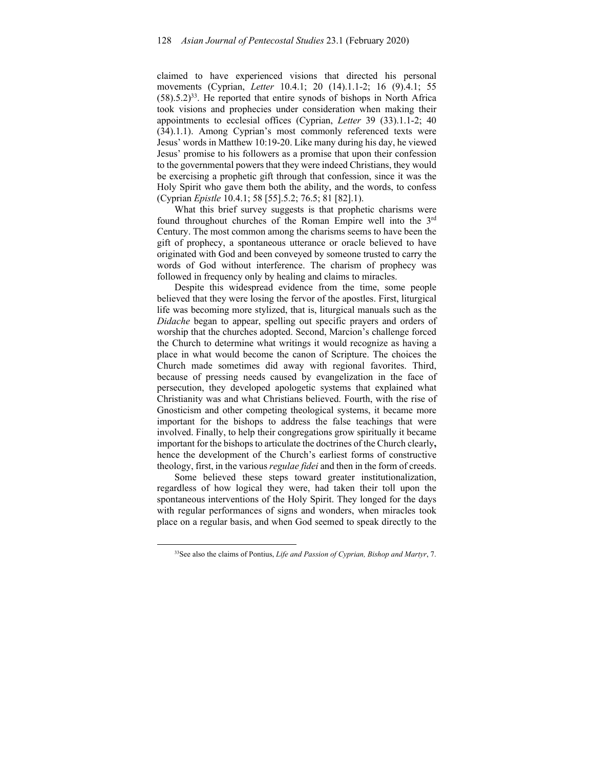claimed to have experienced visions that directed his personal movements (Cyprian, *Letter* 10.4.1; 20 (14).1.1-2; 16 (9).4.1; 55  $(58)$ .5.2)<sup>33</sup>. He reported that entire synods of bishops in North Africa took visions and prophecies under consideration when making their appointments to ecclesial offices (Cyprian, *Letter* 39 (33).1.1-2; 40 (34).1.1). Among Cyprian's most commonly referenced texts were Jesus' words in Matthew 10:19-20. Like many during his day, he viewed Jesus' promise to his followers as a promise that upon their confession to the governmental powers that they were indeed Christians, they would be exercising a prophetic gift through that confession, since it was the Holy Spirit who gave them both the ability, and the words, to confess (Cyprian *Epistle* 10.4.1; 58 [55].5.2; 76.5; 81 [82].1).

What this brief survey suggests is that prophetic charisms were found throughout churches of the Roman Empire well into the 3rd Century. The most common among the charisms seems to have been the gift of prophecy, a spontaneous utterance or oracle believed to have originated with God and been conveyed by someone trusted to carry the words of God without interference. The charism of prophecy was followed in frequency only by healing and claims to miracles.

Despite this widespread evidence from the time, some people believed that they were losing the fervor of the apostles. First, liturgical life was becoming more stylized, that is, liturgical manuals such as the *Didache* began to appear, spelling out specific prayers and orders of worship that the churches adopted. Second, Marcion's challenge forced the Church to determine what writings it would recognize as having a place in what would become the canon of Scripture. The choices the Church made sometimes did away with regional favorites. Third, because of pressing needs caused by evangelization in the face of persecution, they developed apologetic systems that explained what Christianity was and what Christians believed. Fourth, with the rise of Gnosticism and other competing theological systems, it became more important for the bishops to address the false teachings that were involved. Finally, to help their congregations grow spiritually it became important for the bishops to articulate the doctrines of the Church clearly**,**  hence the development of the Church's earliest forms of constructive theology, first, in the various *regulae fidei* and then in the form of creeds.

Some believed these steps toward greater institutionalization, regardless of how logical they were, had taken their toll upon the spontaneous interventions of the Holy Spirit. They longed for the days with regular performances of signs and wonders, when miracles took place on a regular basis, and when God seemed to speak directly to the

<sup>33</sup>See also the claims of Pontius, *Life and Passion of Cyprian, Bishop and Martyr*, 7.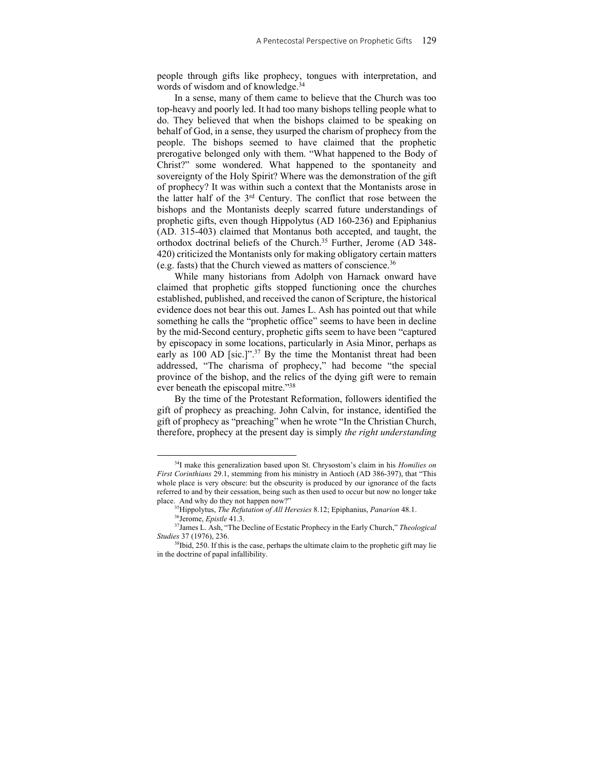people through gifts like prophecy, tongues with interpretation, and words of wisdom and of knowledge.<sup>34</sup>

In a sense, many of them came to believe that the Church was too top-heavy and poorly led. It had too many bishops telling people what to do. They believed that when the bishops claimed to be speaking on behalf of God, in a sense, they usurped the charism of prophecy from the people. The bishops seemed to have claimed that the prophetic prerogative belonged only with them. "What happened to the Body of Christ?" some wondered. What happened to the spontaneity and sovereignty of the Holy Spirit? Where was the demonstration of the gift of prophecy? It was within such a context that the Montanists arose in the latter half of the 3rd Century. The conflict that rose between the bishops and the Montanists deeply scarred future understandings of prophetic gifts, even though Hippolytus (AD 160-236) and Epiphanius (AD. 315-403) claimed that Montanus both accepted, and taught, the orthodox doctrinal beliefs of the Church.35 Further, Jerome (AD 348- 420) criticized the Montanists only for making obligatory certain matters (e.g. fasts) that the Church viewed as matters of conscience.36

While many historians from Adolph von Harnack onward have claimed that prophetic gifts stopped functioning once the churches established, published, and received the canon of Scripture, the historical evidence does not bear this out. James L. Ash has pointed out that while something he calls the "prophetic office" seems to have been in decline by the mid-Second century, prophetic gifts seem to have been "captured by episcopacy in some locations, particularly in Asia Minor, perhaps as early as 100 AD [sic.]".<sup>37</sup> By the time the Montanist threat had been addressed, "The charisma of prophecy," had become "the special province of the bishop, and the relics of the dying gift were to remain ever beneath the episcopal mitre."38

By the time of the Protestant Reformation, followers identified the gift of prophecy as preaching. John Calvin, for instance, identified the gift of prophecy as "preaching" when he wrote "In the Christian Church, therefore, prophecy at the present day is simply *the right understanding* 

<sup>34</sup>I make this generalization based upon St. Chrysostom's claim in his *Homilies on First Corinthians* 29.1, stemming from his ministry in Antioch (AD 386-397), that "This whole place is very obscure: but the obscurity is produced by our ignorance of the facts referred to and by their cessation, being such as then used to occur but now no longer take

place. And why do they not happen now?"<br><sup>35</sup>Hippolytus, *The Refutation of All Heresies* 8.12; Epiphanius, *Panarion* 48.1.<br><sup>36</sup>Jerome, *Epistle* 41.3.<br><sup>37</sup>James L. Ash, "The Decline of Ecstatic Prophecy in the Early Churc

*Studies* 37 (1976), 236.

<sup>&</sup>lt;sup>38</sup>Ibid, 250. If this is the case, perhaps the ultimate claim to the prophetic gift may lie in the doctrine of papal infallibility.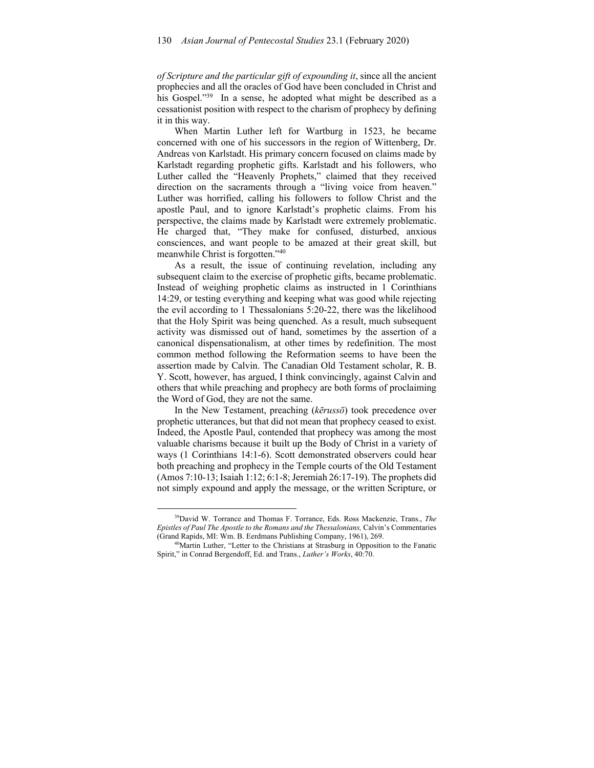*of Scripture and the particular gift of expounding it*, since all the ancient prophecies and all the oracles of God have been concluded in Christ and his Gospel."<sup>39</sup> In a sense, he adopted what might be described as a cessationist position with respect to the charism of prophecy by defining it in this way.

When Martin Luther left for Wartburg in 1523, he became concerned with one of his successors in the region of Wittenberg, Dr. Andreas von Karlstadt. His primary concern focused on claims made by Karlstadt regarding prophetic gifts. Karlstadt and his followers, who Luther called the "Heavenly Prophets," claimed that they received direction on the sacraments through a "living voice from heaven." Luther was horrified, calling his followers to follow Christ and the apostle Paul, and to ignore Karlstadt's prophetic claims. From his perspective, the claims made by Karlstadt were extremely problematic. He charged that, "They make for confused, disturbed, anxious consciences, and want people to be amazed at their great skill, but meanwhile Christ is forgotten."40

As a result, the issue of continuing revelation, including any subsequent claim to the exercise of prophetic gifts, became problematic. Instead of weighing prophetic claims as instructed in 1 Corinthians 14:29, or testing everything and keeping what was good while rejecting the evil according to 1 Thessalonians 5:20-22, there was the likelihood that the Holy Spirit was being quenched. As a result, much subsequent activity was dismissed out of hand, sometimes by the assertion of a canonical dispensationalism, at other times by redefinition. The most common method following the Reformation seems to have been the assertion made by Calvin. The Canadian Old Testament scholar, R. B. Y. Scott, however, has argued, I think convincingly, against Calvin and others that while preaching and prophecy are both forms of proclaiming the Word of God, they are not the same.

In the New Testament, preaching (*kērussō*) took precedence over prophetic utterances, but that did not mean that prophecy ceased to exist. Indeed, the Apostle Paul, contended that prophecy was among the most valuable charisms because it built up the Body of Christ in a variety of ways (1 Corinthians 14:1-6). Scott demonstrated observers could hear both preaching and prophecy in the Temple courts of the Old Testament (Amos 7:10-13; Isaiah 1:12; 6:1-8; Jeremiah 26:17-19). The prophets did not simply expound and apply the message, or the written Scripture, or

<sup>39</sup>David W. Torrance and Thomas F. Torrance, Eds. Ross Mackenzie, Trans., *The Epistles of Paul The Apostle to the Romans and the Thessalonians,* Calvin's Commentaries (Grand Rapids, MI: Wm. B. Eerdmans Publishing Company, 1961), 269. <sup>40</sup>Martin Luther, "Letter to the Christians at Strasburg in Opposition to the Fanatic

Spirit," in Conrad Bergendoff, Ed. and Trans., *Luther's Works*, 40:70.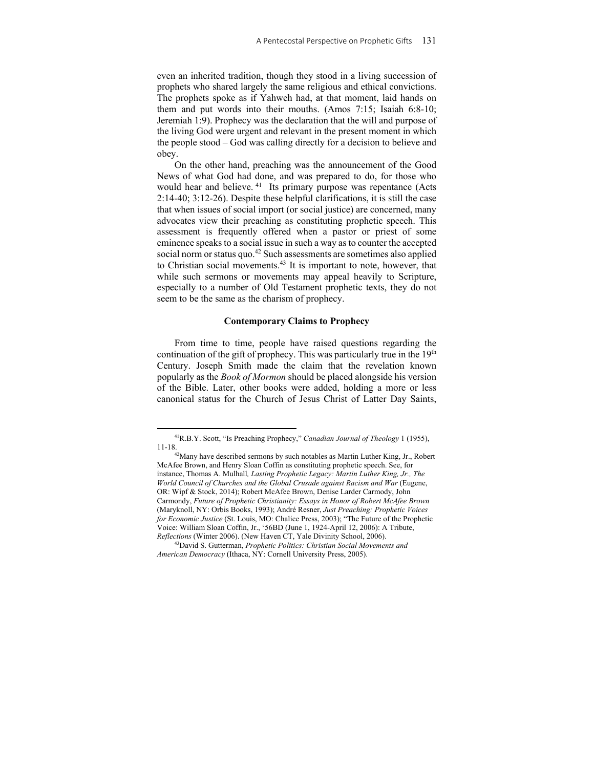even an inherited tradition, though they stood in a living succession of prophets who shared largely the same religious and ethical convictions. The prophets spoke as if Yahweh had, at that moment, laid hands on them and put words into their mouths. (Amos 7:15; Isaiah 6:8-10; Jeremiah 1:9). Prophecy was the declaration that the will and purpose of the living God were urgent and relevant in the present moment in which the people stood – God was calling directly for a decision to believe and obey.

On the other hand, preaching was the announcement of the Good News of what God had done, and was prepared to do, for those who would hear and believe. <sup>41</sup> Its primary purpose was repentance (Acts 2:14-40; 3:12-26). Despite these helpful clarifications, it is still the case that when issues of social import (or social justice) are concerned, many advocates view their preaching as constituting prophetic speech. This assessment is frequently offered when a pastor or priest of some eminence speaks to a social issue in such a way as to counter the accepted social norm or status quo.<sup>42</sup> Such assessments are sometimes also applied to Christian social movements.43 It is important to note, however, that while such sermons or movements may appeal heavily to Scripture, especially to a number of Old Testament prophetic texts, they do not seem to be the same as the charism of prophecy.

## **Contemporary Claims to Prophecy**

From time to time, people have raised questions regarding the continuation of the gift of prophecy. This was particularly true in the  $19<sup>th</sup>$ Century. Joseph Smith made the claim that the revelation known popularly as the *Book of Mormon* should be placed alongside his version of the Bible. Later, other books were added, holding a more or less canonical status for the Church of Jesus Christ of Latter Day Saints,

<sup>41</sup>R.B.Y. Scott, "Is Preaching Prophecy," *Canadian Journal of Theology* 1 (1955), 11-18. 42Many have described sermons by such notables as Martin Luther King, Jr., Robert

McAfee Brown, and Henry Sloan Coffin as constituting prophetic speech. See, for instance, Thomas A. Mulhall*, Lasting Prophetic Legacy: Martin Luther King, Jr., The World Council of Churches and the Global Crusade against Racism and War* (Eugene, OR: Wipf & Stock, 2014); Robert McAfee Brown, Denise Larder Carmody, John Carmondy, *Future of Prophetic Christianity: Essays in Honor of Robert McAfee Brown* (Maryknoll, NY: Orbis Books, 1993); André Resner, *Just Preaching: Prophetic Voices for Economic Justice* (St. Louis, MO: Chalice Press, 2003); "The Future of the Prophetic Voice: William Sloan Coffin, Jr., '56BD (June 1, 1924-April 12, 2006): A Tribute, *Reflections* (Winter 2006). (New Haven CT, Yale Divinity School, 2006). 43David S. Gutterman, *Prophetic Politics: Christian Social Movements and* 

*American Democracy* (Ithaca, NY: Cornell University Press, 2005).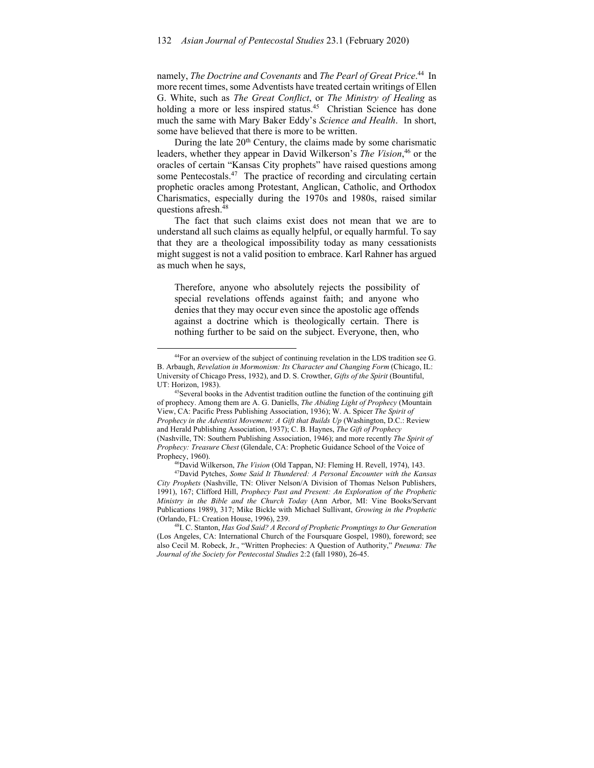namely, *The Doctrine and Covenants* and *The Pearl of Great Price*. 44 In more recent times, some Adventists have treated certain writings of Ellen G. White, such as *The Great Conflict*, or *The Ministry of Healing* as holding a more or less inspired status.<sup>45</sup> Christian Science has done much the same with Mary Baker Eddy's *Science and Health*. In short, some have believed that there is more to be written.

During the late  $20<sup>th</sup>$  Century, the claims made by some charismatic leaders, whether they appear in David Wilkerson's *The Vision*, 46 or the oracles of certain "Kansas City prophets" have raised questions among some Pentecostals.<sup>47</sup> The practice of recording and circulating certain prophetic oracles among Protestant, Anglican, Catholic, and Orthodox Charismatics, especially during the 1970s and 1980s, raised similar questions afresh.48

The fact that such claims exist does not mean that we are to understand all such claims as equally helpful, or equally harmful. To say that they are a theological impossibility today as many cessationists might suggest is not a valid position to embrace. Karl Rahner has argued as much when he says,

Therefore, anyone who absolutely rejects the possibility of special revelations offends against faith; and anyone who denies that they may occur even since the apostolic age offends against a doctrine which is theologically certain. There is nothing further to be said on the subject. Everyone, then, who

<sup>44</sup>For an overview of the subject of continuing revelation in the LDS tradition see G. B. Arbaugh, *Revelation in Mormonism: Its Character and Changing Form* (Chicago, IL: University of Chicago Press, 1932), and D. S. Crowther, *Gifts of the Spirit* (Bountiful,

UT: Horizon, 1983).<br><sup>45</sup>Several books in the Adventist tradition outline the function of the continuing gift of prophecy. Among them are A. G. Daniells, *The Abiding Light of Prophecy* (Mountain View, CA: Pacific Press Publishing Association, 1936); W. A. Spicer *The Spirit of Prophecy in the Adventist Movement: A Gift that Builds Up (Washington, D.C.: Review* and Herald Publishing Association, 1937); C. B. Haynes, *The Gift of Prophecy*  (Nashville, TN: Southern Publishing Association, 1946); and more recently *The Spirit of Prophecy: Treasure Chest* (Glendale, CA: Prophetic Guidance School of the Voice of Prophecy, 1960). 46David Wilkerson, *The Vision* (Old Tappan, NJ: Fleming H. Revell, 1974), 143. 47David Pytches, *Some Said It Thundered: A Personal Encounter with the Kansas* 

*City Prophets* (Nashville, TN: Oliver Nelson/A Division of Thomas Nelson Publishers, 1991), 167; Clifford Hill, *Prophecy Past and Present: An Exploration of the Prophetic Ministry in the Bible and the Church Today* (Ann Arbor, MI: Vine Books/Servant Publications 1989), 317; Mike Bickle with Michael Sullivant, *Growing in the Prophetic* (Orlando, FL: Creation House, 1996), 239.<br><sup>48</sup>I. C. Stanton, *Has God Said? A Record of Prophetic Promptings to Our Generation* 

<sup>(</sup>Los Angeles, CA: International Church of the Foursquare Gospel, 1980), foreword; see also Cecil M. Robeck, Jr., "Written Prophecies: A Question of Authority," *Pneuma: The Journal of the Society for Pentecostal Studies* 2:2 (fall 1980), 26-45.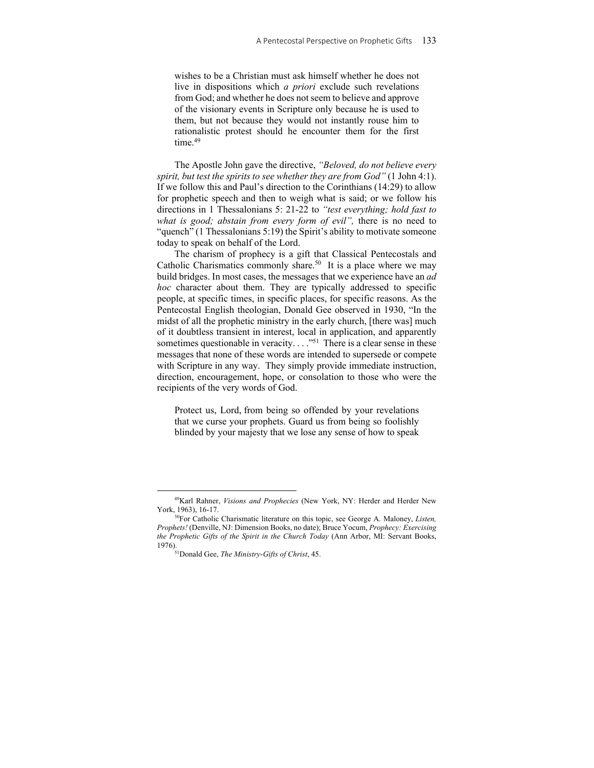wishes to be a Christian must ask himself whether he does not live in dispositions which *a priori* exclude such revelations from God; and whether he does not seem to believe and approve of the visionary events in Scripture only because he is used to them, but not because they would not instantly rouse him to rationalistic protest should he encounter them for the first time.<sup>49</sup>

The Apostle John gave the directive, *"Beloved, do not believe every spirit, but test the spirits to see whether they are from God"* (1 John 4:1). If we follow this and Paul's direction to the Corinthians (14:29) to allow for prophetic speech and then to weigh what is said; or we follow his directions in 1 Thessalonians 5: 21-22 to *"test everything; hold fast to what is good; abstain from every form of evil",* there is no need to "quench" (1 Thessalonians 5:19) the Spirit's ability to motivate someone today to speak on behalf of the Lord.

The charism of prophecy is a gift that Classical Pentecostals and Catholic Charismatics commonly share.<sup>50</sup> It is a place where we may build bridges. In most cases, the messages that we experience have an *ad hoc* character about them. They are typically addressed to specific people, at specific times, in specific places, for specific reasons. As the Pentecostal English theologian, Donald Gee observed in 1930, "In the midst of all the prophetic ministry in the early church, [there was] much of it doubtless transient in interest, local in application, and apparently sometimes questionable in veracity. . . . "<sup>51</sup> There is a clear sense in these messages that none of these words are intended to supersede or compete with Scripture in any way. They simply provide immediate instruction, direction, encouragement, hope, or consolation to those who were the recipients of the very words of God.

Protect us, Lord, from being so offended by your revelations that we curse your prophets. Guard us from being so foolishly blinded by your majesty that we lose any sense of how to speak

<sup>49</sup>Karl Rahner, *Visions and Prophecies* (New York, NY: Herder and Herder New York, 1963), 16-17.<br><sup>50</sup>For Catholic Charismatic literature on this topic, see George A. Maloney, *Listen*,

*Prophets!* (Denville, NJ: Dimension Books, no date); Bruce Yocum, *Prophecy: Exercising the Prophetic Gifts of the Spirit in the Church Today* (Ann Arbor, MI: Servant Books, 1976). 51Donald Gee, *The Ministry-Gifts of Christ*, 45.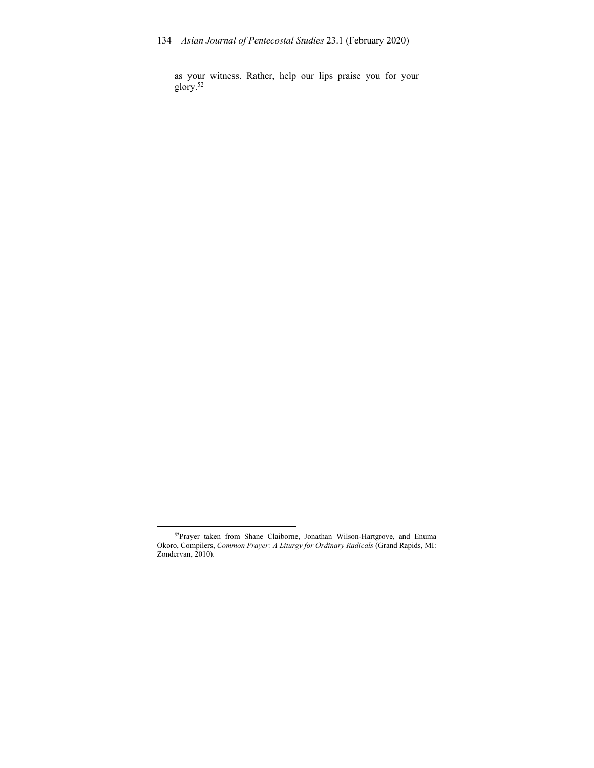as your witness. Rather, help our lips praise you for your glory.52

<sup>&</sup>lt;sup>52</sup>Prayer taken from Shane Claiborne, Jonathan Wilson-Hartgrove, and Enuma Okoro, Compilers, *Common Prayer: A Liturgy for Ordinary Radicals* (Grand Rapids, MI: Zondervan, 2010).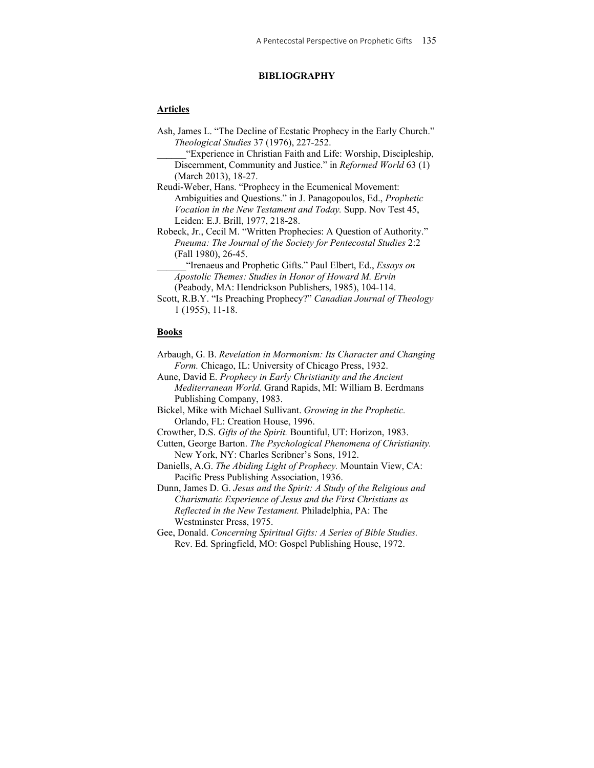# **BIBLIOGRAPHY**

# **Articles**

Ash, James L. "The Decline of Ecstatic Prophecy in the Early Church." *Theological Studies* 37 (1976), 227-252.

\_\_\_\_\_\_"Experience in Christian Faith and Life: Worship, Discipleship, Discernment, Community and Justice." in *Reformed World* 63 (1) (March 2013), 18-27.

Reudi-Weber, Hans. "Prophecy in the Ecumenical Movement: Ambiguities and Questions." in J. Panagopoulos, Ed., *Prophetic Vocation in the New Testament and Today.* Supp. Nov Test 45, Leiden: E.J. Brill, 1977, 218-28.

Robeck, Jr., Cecil M. "Written Prophecies: A Question of Authority." *Pneuma: The Journal of the Society for Pentecostal Studies* 2:2 (Fall 1980), 26-45.

\_\_\_\_\_\_"Irenaeus and Prophetic Gifts." Paul Elbert, Ed., *Essays on Apostolic Themes: Studies in Honor of Howard M. Ervin*  (Peabody, MA: Hendrickson Publishers, 1985), 104-114.

Scott, R.B.Y. "Is Preaching Prophecy?" *Canadian Journal of Theology* 1 (1955), 11-18.

## **Books**

- Arbaugh, G. B. *Revelation in Mormonism: Its Character and Changing Form.* Chicago, IL: University of Chicago Press, 1932.
- Aune, David E. *Prophecy in Early Christianity and the Ancient Mediterranean World.* Grand Rapids, MI: William B. Eerdmans Publishing Company, 1983.
- Bickel, Mike with Michael Sullivant. *Growing in the Prophetic.* Orlando, FL: Creation House, 1996.
- Crowther, D.S. *Gifts of the Spirit.* Bountiful, UT: Horizon, 1983.
- Cutten, George Barton. *The Psychological Phenomena of Christianity.*  New York, NY: Charles Scribner's Sons, 1912.
- Daniells, A.G. *The Abiding Light of Prophecy.* Mountain View, CA: Pacific Press Publishing Association, 1936.

Dunn, James D. G. *Jesus and the Spirit: A Study of the Religious and Charismatic Experience of Jesus and the First Christians as Reflected in the New Testament.* Philadelphia, PA: The Westminster Press, 1975.

Gee, Donald. *Concerning Spiritual Gifts: A Series of Bible Studies.* Rev. Ed. Springfield, MO: Gospel Publishing House, 1972.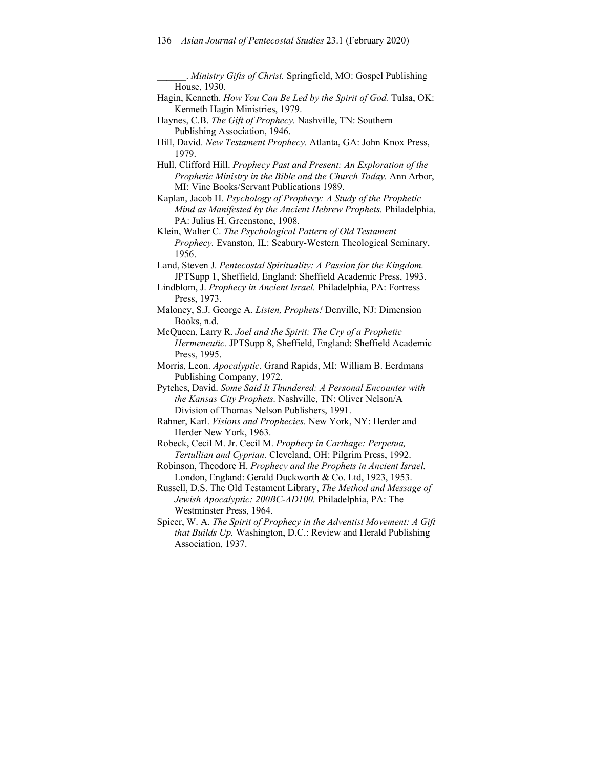\_\_\_\_\_\_. *Ministry Gifts of Christ.* Springfield, MO: Gospel Publishing House, 1930.

- Hagin, Kenneth. *How You Can Be Led by the Spirit of God.* Tulsa, OK: Kenneth Hagin Ministries, 1979.
- Haynes, C.B. *The Gift of Prophecy.* Nashville, TN: Southern Publishing Association, 1946.
- Hill, David. *New Testament Prophecy.* Atlanta, GA: John Knox Press, 1979.
- Hull, Clifford Hill. *Prophecy Past and Present: An Exploration of the Prophetic Ministry in the Bible and the Church Today.* Ann Arbor, MI: Vine Books/Servant Publications 1989.
- Kaplan, Jacob H. *Psychology of Prophecy: A Study of the Prophetic Mind as Manifested by the Ancient Hebrew Prophets.* Philadelphia, PA: Julius H. Greenstone, 1908.
- Klein, Walter C. *The Psychological Pattern of Old Testament Prophecy.* Evanston, IL: Seabury-Western Theological Seminary, 1956.
- Land, Steven J. *Pentecostal Spirituality: A Passion for the Kingdom.*  JPTSupp 1, Sheffield, England: Sheffield Academic Press, 1993.
- Lindblom, J. *Prophecy in Ancient Israel.* Philadelphia, PA: Fortress Press, 1973.
- Maloney, S.J. George A. *Listen, Prophets!* Denville, NJ: Dimension Books, n.d.
- McQueen, Larry R. *Joel and the Spirit: The Cry of a Prophetic Hermeneutic.* JPTSupp 8, Sheffield, England: Sheffield Academic Press, 1995.
- Morris, Leon. *Apocalyptic.* Grand Rapids, MI: William B. Eerdmans Publishing Company, 1972.
- Pytches, David. *Some Said It Thundered: A Personal Encounter with the Kansas City Prophets.* Nashville, TN: Oliver Nelson/A Division of Thomas Nelson Publishers, 1991.
- Rahner, Karl. *Visions and Prophecies.* New York, NY: Herder and Herder New York, 1963.
- Robeck, Cecil M. Jr. Cecil M. *Prophecy in Carthage: Perpetua, Tertullian and Cyprian.* Cleveland, OH: Pilgrim Press, 1992.
- Robinson, Theodore H. *Prophecy and the Prophets in Ancient Israel.*  London, England: Gerald Duckworth & Co. Ltd, 1923, 1953.
- Russell, D.S. The Old Testament Library, *The Method and Message of Jewish Apocalyptic: 200BC-AD100.* Philadelphia, PA: The Westminster Press, 1964.
- Spicer, W. A. *The Spirit of Prophecy in the Adventist Movement: A Gift that Builds Up.* Washington, D.C.: Review and Herald Publishing Association, 1937.